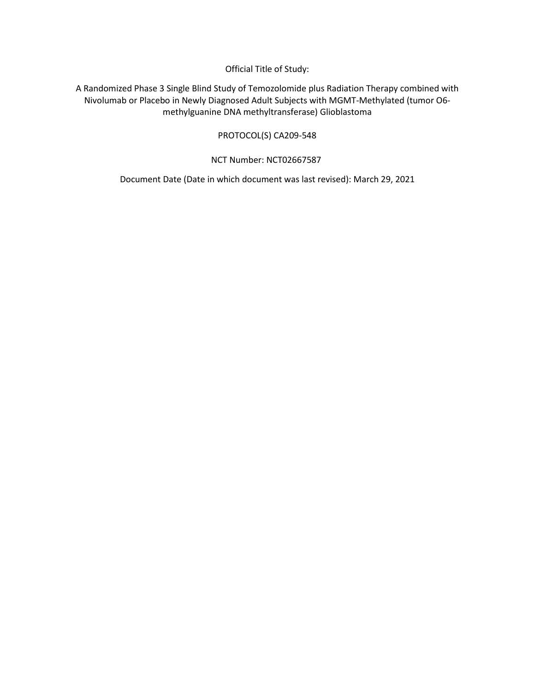Official Title of Study:

#### A Randomized Phase 3 Single Blind Study of Temozolomide plus Radiation Therapy combined with Nivolumab or Placebo in Newly Diagnosed Adult Subjects with MGMT-Methylated (tumor O6 methylguanine DNA methyltransferase) Glioblastoma

#### PROTOCOL(S) CA209-548

#### NCT Number: [NCT02667587](https://clinicaltrials.gov/show/NCT02667587)

Document Date (Date in which document was last revised): March 29, 2021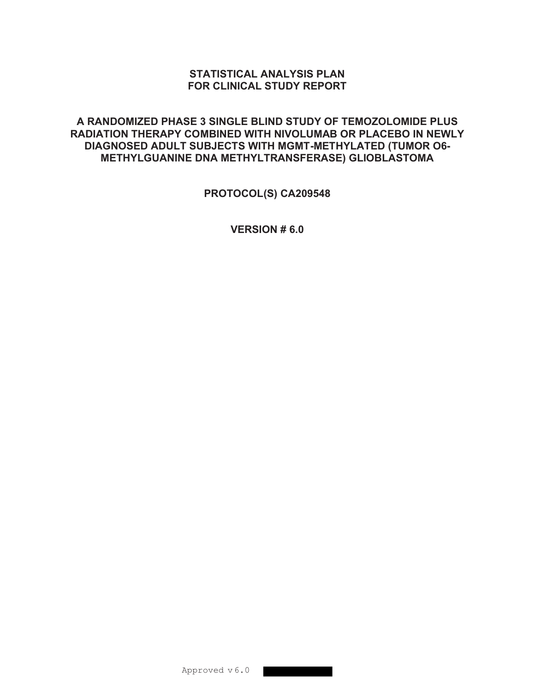#### **STATISTICAL ANALYSIS PLAN FOR CLINICAL STUDY REPORT**

#### **A RANDOMIZED PHASE 3 SINGLE BLIND STUDY OF TEMOZOLOMIDE PLUS RADIATION THERAPY COMBINED WITH NIVOLUMAB OR PLACEBO IN NEWLY DIAGNOSED ADULT SUBJECTS WITH MGMT-METHYLATED (TUMOR O6- METHYLGUANINE DNA METHYLTRANSFERASE) GLIOBLASTOMA**

**PROTOCOL(S) CA209548**

**VERSION # 6.0**

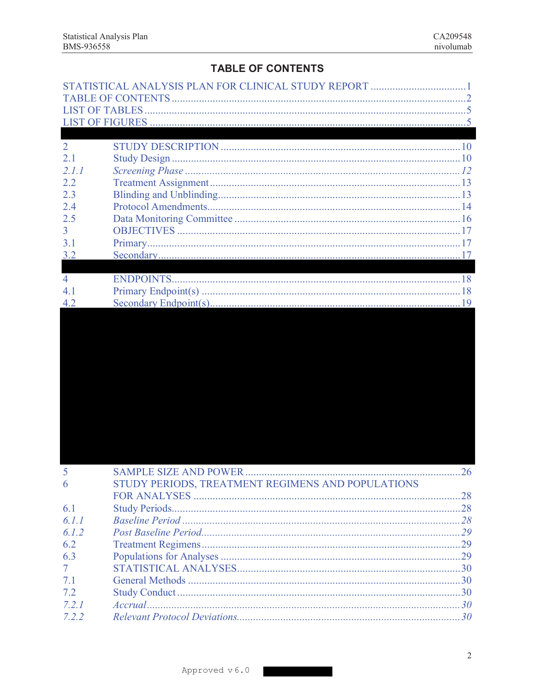## TABLE OF CONTENTS

| 21  |  |
|-----|--|
| 211 |  |
| 2.2 |  |
| 2.3 |  |
| 2.4 |  |
| 2.5 |  |
| 3   |  |
| 3.1 |  |
| 3.2 |  |
|     |  |
| 4   |  |
| 4.1 |  |
| 4.2 |  |
|     |  |
|     |  |
|     |  |
|     |  |
|     |  |

|        |                                                   | 26  |
|--------|---------------------------------------------------|-----|
| 6      | STUDY PERIODS, TREATMENT REGIMENS AND POPULATIONS |     |
|        |                                                   | .28 |
| 6.1    |                                                   | .28 |
| 611    |                                                   | 28  |
| 6.1.2  |                                                   |     |
| 6.2    |                                                   |     |
| 6.3    |                                                   |     |
| $\tau$ |                                                   |     |
| 7.1    |                                                   |     |
| 7.2    |                                                   |     |
| 721    |                                                   |     |
| 722    |                                                   |     |
|        |                                                   |     |

 $\overline{2}$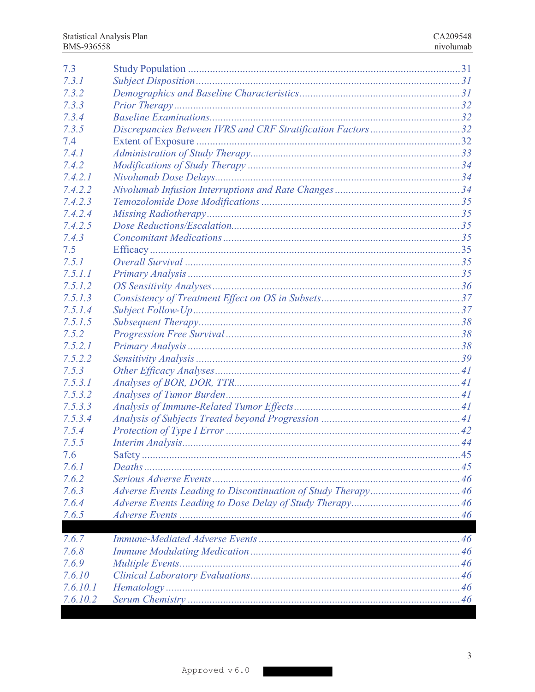| 7.3      |                                                               |  |
|----------|---------------------------------------------------------------|--|
| 7.3.1    |                                                               |  |
| 7.3.2    |                                                               |  |
| 7.3.3    |                                                               |  |
| 7.3.4    |                                                               |  |
| 7.3.5    | Discrepancies Between IVRS and CRF Stratification Factors32   |  |
| 7.4      |                                                               |  |
| 7.4.1    |                                                               |  |
| 7.4.2    |                                                               |  |
| 7.4.2.1  |                                                               |  |
| 7.4.2.2  |                                                               |  |
| 7.4.2.3  |                                                               |  |
| 7.4.2.4  |                                                               |  |
| 7.4.2.5  |                                                               |  |
| 7.4.3    |                                                               |  |
| 7.5      |                                                               |  |
| 7.5.1    |                                                               |  |
| 7.5.1.1  |                                                               |  |
| 7.5.1.2  |                                                               |  |
| 7.5.1.3  |                                                               |  |
| 7.5.1.4  |                                                               |  |
| 7.5.1.5  |                                                               |  |
| 7.5.2    |                                                               |  |
| 7.5.2.1  |                                                               |  |
| 7.5.2.2  |                                                               |  |
| 7.5.3    |                                                               |  |
| 7.5.3.1  |                                                               |  |
| 7.5.3.2  |                                                               |  |
| 7.5.3.3  |                                                               |  |
| 7.5.3.4  |                                                               |  |
| 7.5.4    |                                                               |  |
| 7.5.5    |                                                               |  |
| 7.6      |                                                               |  |
| 7.6.1    |                                                               |  |
| 7.6.2    |                                                               |  |
| 7.6.3    | Adverse Events Leading to Discontinuation of Study Therapy 46 |  |
| 7.6.4    |                                                               |  |
| 7.6.5    |                                                               |  |
|          |                                                               |  |
| 7.6.7    |                                                               |  |
| 7.6.8    |                                                               |  |
| 7.6.9    |                                                               |  |
| 7.6.10   |                                                               |  |
| 7.6.10.1 |                                                               |  |
| 7.6.10.2 |                                                               |  |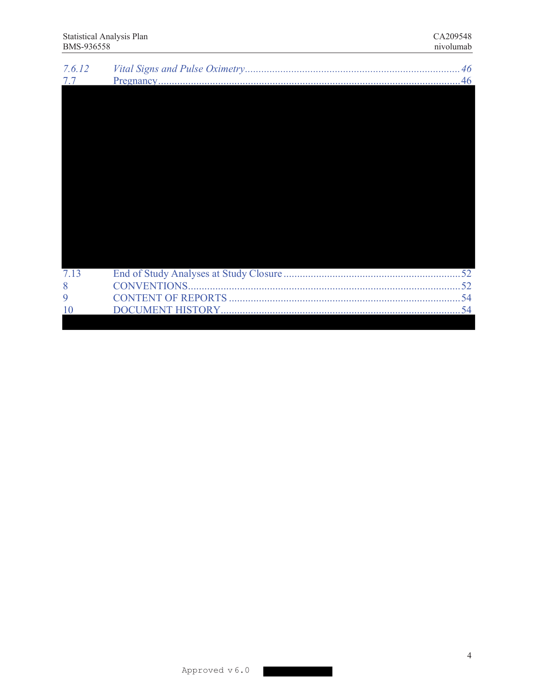| 7.6.12<br>7.7 | 46 |
|---------------|----|
|               |    |
|               |    |
|               |    |
|               |    |
|               |    |
|               |    |
|               |    |
|               |    |
|               |    |
|               |    |
| 7.13          | 52 |
| 8             | 52 |
| 9             | 54 |
| 10            | 54 |

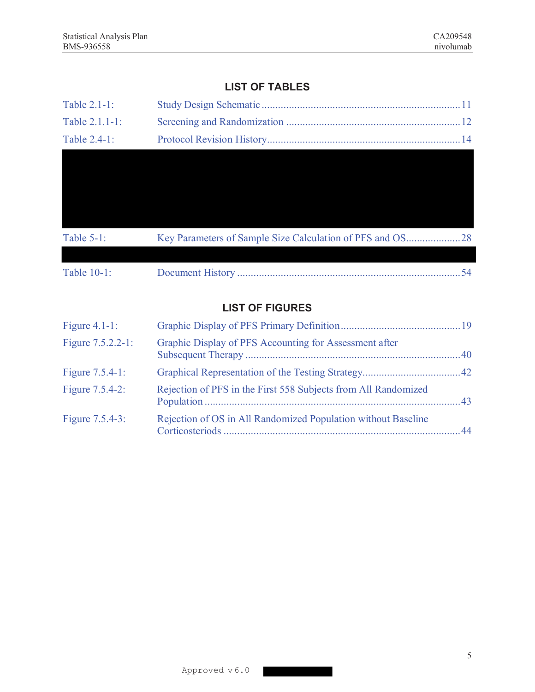## **LIST OF TABLES**

| Table 2.1-1:       |  |
|--------------------|--|
| Table 2.1.1-1:     |  |
| Table 2.4-1:       |  |
|                    |  |
|                    |  |
|                    |  |
|                    |  |
| Table $5-1$ :      |  |
|                    |  |
| <b>Table 10-1:</b> |  |

## **LIST OF FIGURES**

| Figure $4.1-1$ :   |                                                                |  |
|--------------------|----------------------------------------------------------------|--|
| Figure 7.5.2.2-1:  | Graphic Display of PFS Accounting for Assessment after         |  |
| Figure $7.5.4-1$ : |                                                                |  |
| Figure 7.5.4-2:    | Rejection of PFS in the First 558 Subjects from All Randomized |  |
| Figure 7.5.4-3:    | Rejection of OS in All Randomized Population without Baseline  |  |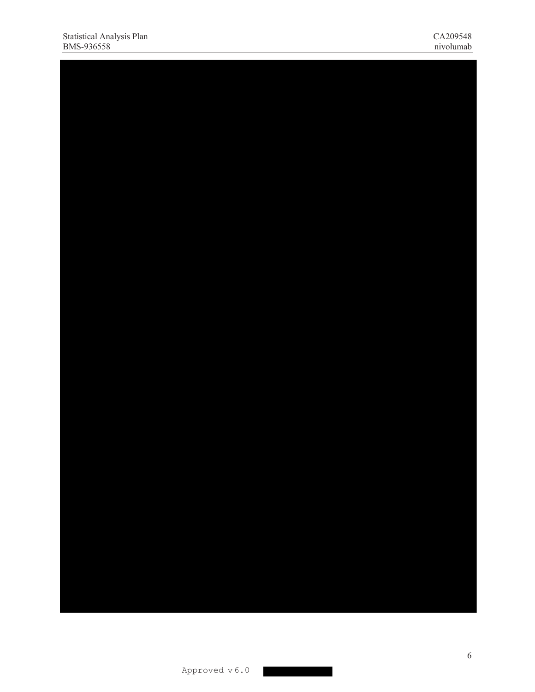Approved  $v6.0$ 

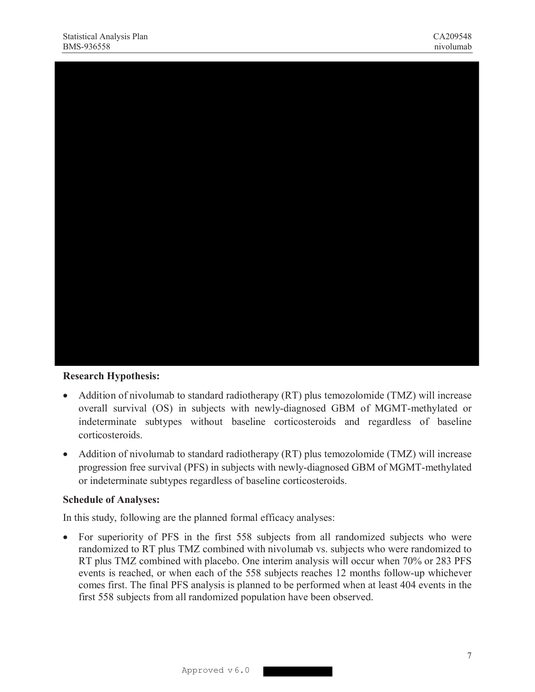

#### **Research Hypothesis:**

- Addition of nivolumab to standard radiotherapy (RT) plus temozolomide (TMZ) will increase overall survival (OS) in subjects with newly-diagnosed GBM of MGMT-methylated or indeterminate subtypes without baseline corticosteroids and regardless of baseline corticosteroids.
- Addition of nivolumab to standard radiotherapy (RT) plus temozolomide (TMZ) will increase progression free survival (PFS) in subjects with newly-diagnosed GBM of MGMT-methylated or indeterminate subtypes regardless of baseline corticosteroids.

#### **Schedule of Analyses:**

In this study, following are the planned formal efficacy analyses:

• For superiority of PFS in the first 558 subjects from all randomized subjects who were randomized to RT plus TMZ combined with nivolumab vs. subjects who were randomized to RT plus TMZ combined with placebo. One interim analysis will occur when 70% or 283 PFS events is reached, or when each of the 558 subjects reaches 12 months follow-up whichever comes first. The final PFS analysis is planned to be performed when at least 404 events in the first 558 subjects from all randomized population have been observed.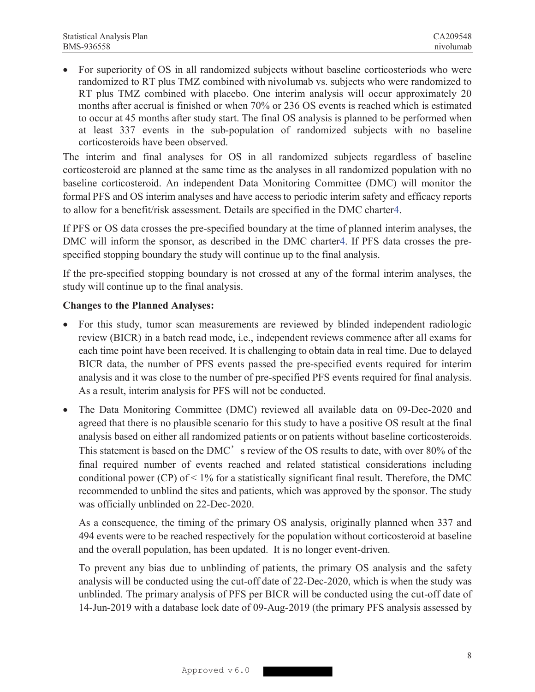• For superiority of OS in all randomized subjects without baseline corticosteriods who were randomized to RT plus TMZ combined with nivolumab vs. subjects who were randomized to RT plus TMZ combined with placebo. One interim analysis will occur approximately 20 months after accrual is finished or when 70% or 236 OS events is reached which is estimated to occur at 45 months after study start. The final OS analysis is planned to be performed when at least 337 events in the sub-population of randomized subjects with no baseline corticosteroids have been observed.

The interim and final analyses for OS in all randomized subjects regardless of baseline corticosteroid are planned at the same time as the analyses in all randomized population with no baseline corticosteroid. An independent Data Monitoring Committee (DMC) will monitor the formal PFS and OS interim analyses and have access to periodic interim safety and efficacy reports to allow for a benefit/risk assessment. Details are specified in the DMC charter4.

If PFS or OS data crosses the pre-specified boundary at the time of planned interim analyses, the DMC will inform the sponsor, as described in the DMC charter4. If PFS data crosses the prespecified stopping boundary the study will continue up to the final analysis.

If the pre-specified stopping boundary is not crossed at any of the formal interim analyses, the study will continue up to the final analysis.

#### **Changes to the Planned Analyses:**

- For this study, tumor scan measurements are reviewed by blinded independent radiologic review (BICR) in a batch read mode, i.e., independent reviews commence after all exams for each time point have been received. It is challenging to obtain data in real time. Due to delayed BICR data, the number of PFS events passed the pre-specified events required for interim analysis and it was close to the number of pre-specified PFS events required for final analysis. As a result, interim analysis for PFS will not be conducted.
- The Data Monitoring Committee (DMC) reviewed all available data on 09-Dec-2020 and agreed that there is no plausible scenario for this study to have a positive OS result at the final analysis based on either all randomized patients or on patients without baseline corticosteroids. This statement is based on the DMC<sup>'</sup>s review of the OS results to date, with over 80% of the final required number of events reached and related statistical considerations including conditional power (CP) of  $\leq$  1% for a statistically significant final result. Therefore, the DMC recommended to unblind the sites and patients, which was approved by the sponsor. The study was officially unblinded on 22-Dec-2020.

As a consequence, the timing of the primary OS analysis, originally planned when 337 and 494 events were to be reached respectively for the population without corticosteroid at baseline and the overall population, has been updated. It is no longer event-driven.

To prevent any bias due to unblinding of patients, the primary OS analysis and the safety analysis will be conducted using the cut-off date of 22-Dec-2020, which is when the study was unblinded. The primary analysis of PFS per BICR will be conducted using the cut-off date of 14-Jun-2019 with a database lock date of 09-Aug-2019 (the primary PFS analysis assessed by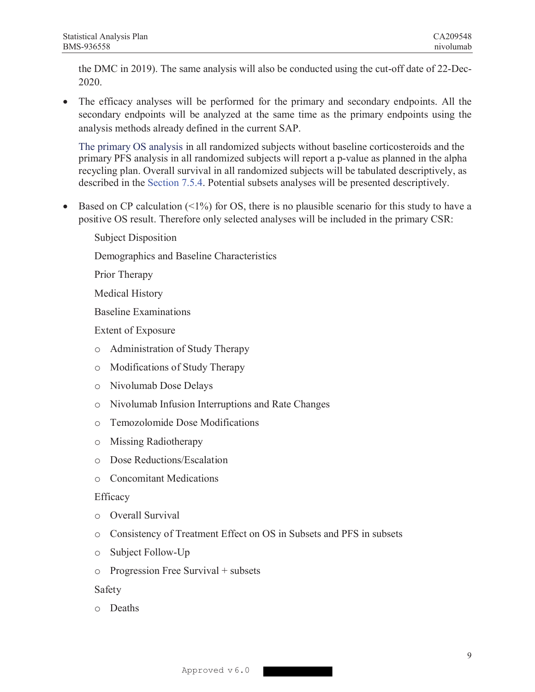the DMC in 2019). The same analysis will also be conducted using the cut-off date of 22-Dec-2020.

• The efficacy analyses will be performed for the primary and secondary endpoints. All the secondary endpoints will be analyzed at the same time as the primary endpoints using the analysis methods already defined in the current SAP.

The primary OS analysis in all randomized subjects without baseline corticosteroids and the primary PFS analysis in all randomized subjects will report a p-value as planned in the alpha recycling plan. Overall survival in all randomized subjects will be tabulated descriptively, as described in the Section 7.5.4. Potential subsets analyses will be presented descriptively.

- Based on CP calculation  $(1\%)$  for OS, there is no plausible scenario for this study to have a positive OS result. Therefore only selected analyses will be included in the primary CSR:
	- Subject Disposition
	- Demographics and Baseline Characteristics

Prior Therapy

Medical History

Baseline Examinations

Extent of Exposure

- o Administration of Study Therapy
- o Modifications of Study Therapy
- o Nivolumab Dose Delays
- o Nivolumab Infusion Interruptions and Rate Changes
- o Temozolomide Dose Modifications
- o Missing Radiotherapy
- o Dose Reductions/Escalation
- o Concomitant Medications

**Efficacy** 

- o Overall Survival
- o Consistency of Treatment Effect on OS in Subsets and PFS in subsets
- o Subject Follow-Up
- o Progression Free Survival + subsets

Safety

o Deaths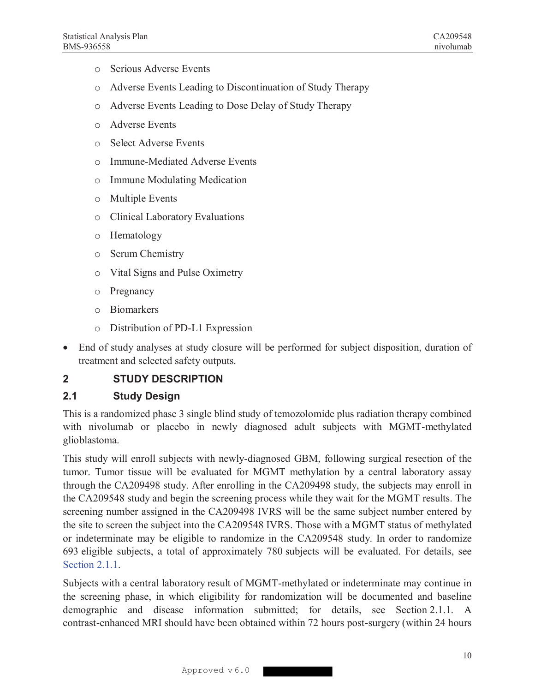- o Serious Adverse Events
- o Adverse Events Leading to Discontinuation of Study Therapy
- o Adverse Events Leading to Dose Delay of Study Therapy
- o Adverse Events
- o Select Adverse Events
- o Immune-Mediated Adverse Events
- o Immune Modulating Medication
- o Multiple Events
- o Clinical Laboratory Evaluations
- o Hematology
- o Serum Chemistry
- o Vital Signs and Pulse Oximetry
- o Pregnancy
- o Biomarkers
- o Distribution of PD-L1 Expression
- End of study analyses at study closure will be performed for subject disposition, duration of treatment and selected safety outputs.

#### **2 STUDY DESCRIPTION**

#### **2.1 Study Design**

This is a randomized phase 3 single blind study of temozolomide plus radiation therapy combined with nivolumab or placebo in newly diagnosed adult subjects with MGMT-methylated glioblastoma.

This study will enroll subjects with newly-diagnosed GBM, following surgical resection of the tumor. Tumor tissue will be evaluated for MGMT methylation by a central laboratory assay through the CA209498 study. After enrolling in the CA209498 study, the subjects may enroll in the CA209548 study and begin the screening process while they wait for the MGMT results. The screening number assigned in the CA209498 IVRS will be the same subject number entered by the site to screen the subject into the CA209548 IVRS. Those with a MGMT status of methylated or indeterminate may be eligible to randomize in the CA209548 study. In order to randomize 693 eligible subjects, a total of approximately 780 subjects will be evaluated. For details, see Section 2.1.1.

Subjects with a central laboratory result of MGMT-methylated or indeterminate may continue in the screening phase, in which eligibility for randomization will be documented and baseline demographic and disease information submitted; for details, see Section 2.1.1. A contrast-enhanced MRI should have been obtained within 72 hours post-surgery (within 24 hours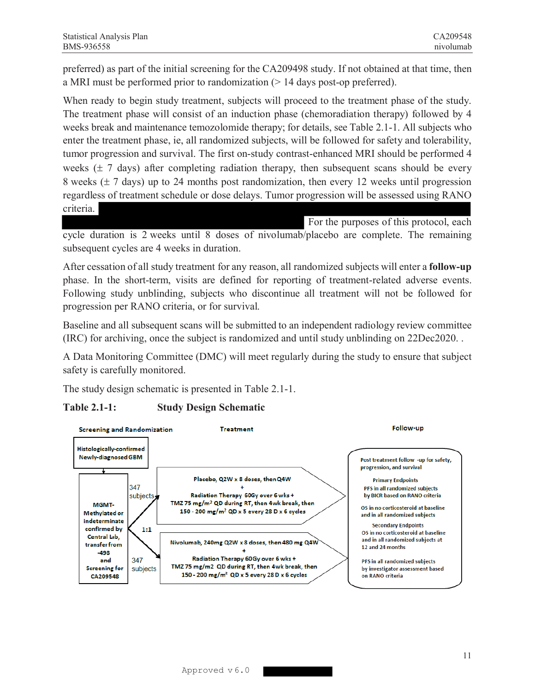preferred) as part of the initial screening for the CA209498 study. If not obtained at that time, then a MRI must be performed prior to randomization (> 14 days post-op preferred).

When ready to begin study treatment, subjects will proceed to the treatment phase of the study. The treatment phase will consist of an induction phase (chemoradiation therapy) followed by 4 weeks break and maintenance temozolomide therapy; for details, see Table 2.1-1. All subjects who enter the treatment phase, ie, all randomized subjects, will be followed for safety and tolerability, tumor progression and survival. The first on-study contrast-enhanced MRI should be performed 4 weeks  $(\pm 7)$  days) after completing radiation therapy, then subsequent scans should be every 8 weeks  $(\pm 7 \text{ days})$  up to 24 months post randomization, then every 12 weeks until progression regardless of treatment schedule or dose delays. Tumor progression will be assessed using RANO criteria.

For the purposes of this protocol, each cycle duration is 2 weeks until 8 doses of nivolumab/placebo are complete. The remaining subsequent cycles are 4 weeks in duration.

After cessation of all study treatment for any reason, all randomized subjects will enter a **follow-up**  phase. In the short-term, visits are defined for reporting of treatment-related adverse events. Following study unblinding, subjects who discontinue all treatment will not be followed for progression per RANO criteria, or for survival.

Baseline and all subsequent scans will be submitted to an independent radiology review committee (IRC) for archiving, once the subject is randomized and until study unblinding on 22Dec2020. .

A Data Monitoring Committee (DMC) will meet regularly during the study to ensure that subject safety is carefully monitored.

The study design schematic is presented in Table 2.1-1.

#### **Table 2.1-1: Study Design Schematic**

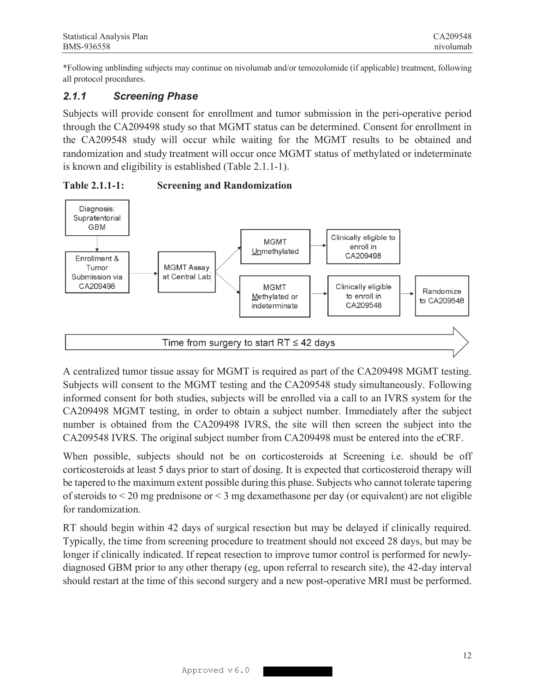\*Following unblinding subjects may continue on nivolumab and/or temozolomide (if applicable) treatment, following all protocol procedures.

## *2.1.1 Screening Phase*

Subjects will provide consent for enrollment and tumor submission in the peri-operative period through the CA209498 study so that MGMT status can be determined. Consent for enrollment in the CA209548 study will occur while waiting for the MGMT results to be obtained and randomization and study treatment will occur once MGMT status of methylated or indeterminate is known and eligibility is established (Table 2.1.1-1).





A centralized tumor tissue assay for MGMT is required as part of the CA209498 MGMT testing. Subjects will consent to the MGMT testing and the CA209548 study simultaneously. Following informed consent for both studies, subjects will be enrolled via a call to an IVRS system for the CA209498 MGMT testing, in order to obtain a subject number. Immediately after the subject number is obtained from the CA209498 IVRS, the site will then screen the subject into the CA209548 IVRS. The original subject number from CA209498 must be entered into the eCRF.

When possible, subjects should not be on corticosteroids at Screening i.e. should be off corticosteroids at least 5 days prior to start of dosing. It is expected that corticosteroid therapy will be tapered to the maximum extent possible during this phase. Subjects who cannot tolerate tapering of steroids to < 20 mg prednisone or < 3 mg dexamethasone per day (or equivalent) are not eligible for randomization.

RT should begin within 42 days of surgical resection but may be delayed if clinically required. Typically, the time from screening procedure to treatment should not exceed 28 days, but may be longer if clinically indicated. If repeat resection to improve tumor control is performed for newlydiagnosed GBM prior to any other therapy (eg, upon referral to research site), the 42-day interval should restart at the time of this second surgery and a new post-operative MRI must be performed.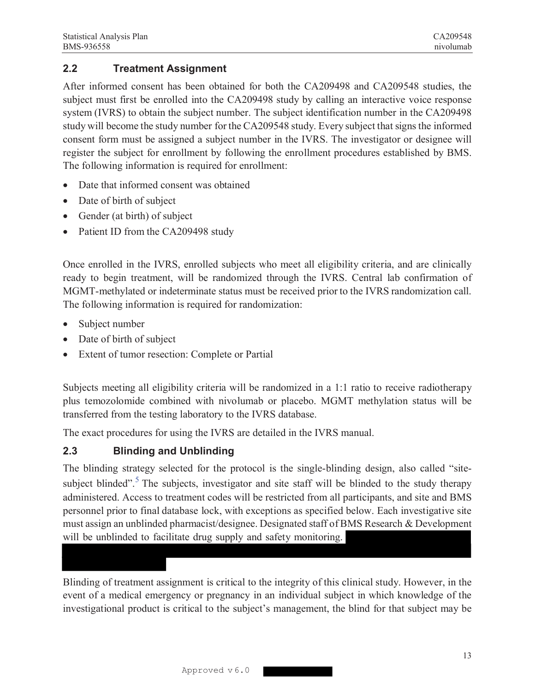#### **2.2 Treatment Assignment**

After informed consent has been obtained for both the CA209498 and CA209548 studies, the subject must first be enrolled into the CA209498 study by calling an interactive voice response system (IVRS) to obtain the subject number. The subject identification number in the CA209498 study will become the study number for the CA209548 study. Every subject that signs the informed consent form must be assigned a subject number in the IVRS. The investigator or designee will register the subject for enrollment by following the enrollment procedures established by BMS. The following information is required for enrollment:

- Date that informed consent was obtained
- Date of birth of subject
- Gender (at birth) of subject
- Patient ID from the CA209498 study

Once enrolled in the IVRS, enrolled subjects who meet all eligibility criteria, and are clinically ready to begin treatment, will be randomized through the IVRS. Central lab confirmation of MGMT-methylated or indeterminate status must be received prior to the IVRS randomization call. The following information is required for randomization:

- Subject number
- Date of birth of subject
- **Extent of tumor resection: Complete or Partial**

Subjects meeting all eligibility criteria will be randomized in a 1:1 ratio to receive radiotherapy plus temozolomide combined with nivolumab or placebo. MGMT methylation status will be transferred from the testing laboratory to the IVRS database.

The exact procedures for using the IVRS are detailed in the IVRS manual.

#### **2.3 Blinding and Unblinding**

The blinding strategy selected for the protocol is the single-blinding design, also called "sitesubject blinded".<sup>5</sup> The subjects, investigator and site staff will be blinded to the study therapy administered. Access to treatment codes will be restricted from all participants, and site and BMS personnel prior to final database lock, with exceptions as specified below. Each investigative site must assign an unblinded pharmacist/designee. Designated staff of BMS Research & Development will be unblinded to facilitate drug supply and safety monitoring.

Blinding of treatment assignment is critical to the integrity of this clinical study. However, in the event of a medical emergency or pregnancy in an individual subject in which knowledge of the investigational product is critical to the subject's management, the blind for that subject may be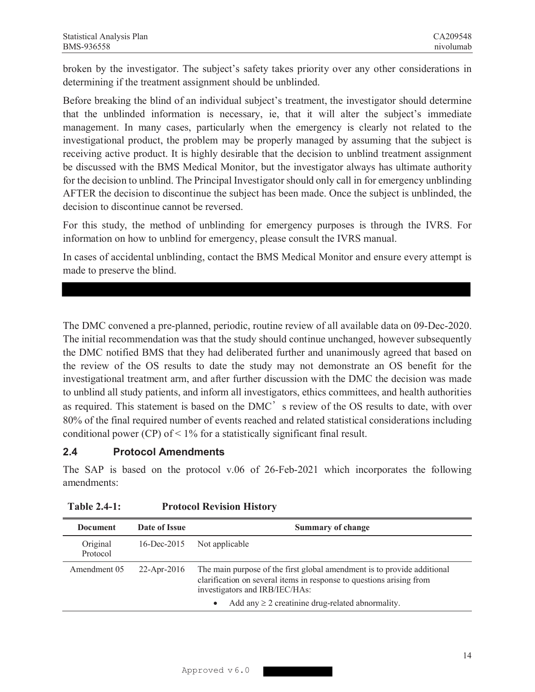broken by the investigator. The subject's safety takes priority over any other considerations in determining if the treatment assignment should be unblinded.

Before breaking the blind of an individual subject's treatment, the investigator should determine that the unblinded information is necessary, ie, that it will alter the subject's immediate management. In many cases, particularly when the emergency is clearly not related to the investigational product, the problem may be properly managed by assuming that the subject is receiving active product. It is highly desirable that the decision to unblind treatment assignment be discussed with the BMS Medical Monitor, but the investigator always has ultimate authority for the decision to unblind. The Principal Investigator should only call in for emergency unblinding AFTER the decision to discontinue the subject has been made. Once the subject is unblinded, the decision to discontinue cannot be reversed.

For this study, the method of unblinding for emergency purposes is through the IVRS. For information on how to unblind for emergency, please consult the IVRS manual.

In cases of accidental unblinding, contact the BMS Medical Monitor and ensure every attempt is made to preserve the blind.

The DMC convened a pre-planned, periodic, routine review of all available data on 09-Dec-2020. The initial recommendation was that the study should continue unchanged, however subsequently the DMC notified BMS that they had deliberated further and unanimously agreed that based on the review of the OS results to date the study may not demonstrate an OS benefit for the investigational treatment arm, and after further discussion with the DMC the decision was made to unblind all study patients, and inform all investigators, ethics committees, and health authorities as required. This statement is based on the DMC<sup>'</sup>s review of the OS results to date, with over 80% of the final required number of events reached and related statistical considerations including conditional power (CP) of  $\leq$  1% for a statistically significant final result.

#### **2.4 Protocol Amendments**

The SAP is based on the protocol v.06 of 26-Feb-2021 which incorporates the following amendments:

| <b>Document</b>      | Date of Issue  | <b>Summary of change</b>                                                                                                                                                          |
|----------------------|----------------|-----------------------------------------------------------------------------------------------------------------------------------------------------------------------------------|
| Original<br>Protocol | $16$ -Dec-2015 | Not applicable                                                                                                                                                                    |
| Amendment 05         | $22$ -Apr-2016 | The main purpose of the first global amendment is to provide additional<br>clarification on several items in response to questions arising from<br>investigators and IRB/IEC/HAs: |
|                      |                | Add any $\geq 2$ creatinine drug-related abnormality.                                                                                                                             |

**Table 2.4-1: Protocol Revision History**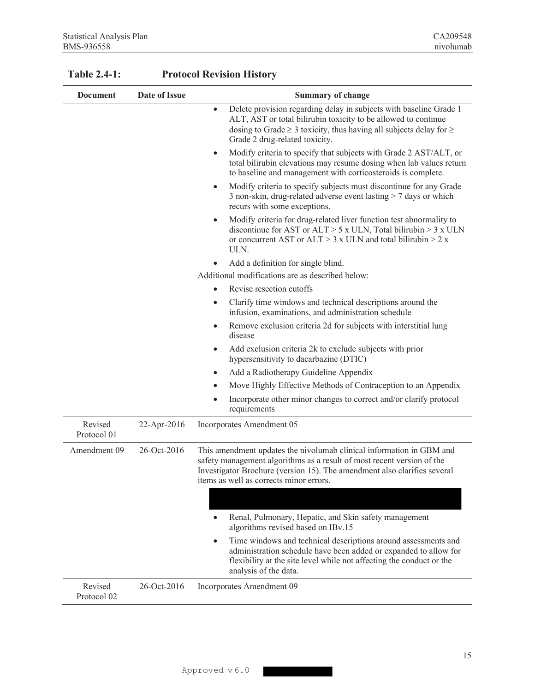| <b>Document</b>        | Date of Issue | <b>Summary of change</b>                                                                                                                                                                                                                                              |
|------------------------|---------------|-----------------------------------------------------------------------------------------------------------------------------------------------------------------------------------------------------------------------------------------------------------------------|
|                        |               | Delete provision regarding delay in subjects with baseline Grade 1<br>$\bullet$<br>ALT, AST or total bilirubin toxicity to be allowed to continue<br>dosing to Grade $\geq$ 3 toxicity, thus having all subjects delay for $\geq$<br>Grade 2 drug-related toxicity.   |
|                        |               | Modify criteria to specify that subjects with Grade 2 AST/ALT, or<br>$\bullet$<br>total bilirubin elevations may resume dosing when lab values return<br>to baseline and management with corticosteroids is complete.                                                 |
|                        |               | Modify criteria to specify subjects must discontinue for any Grade<br>3 non-skin, drug-related adverse event lasting > 7 days or which<br>recurs with some exceptions.                                                                                                |
|                        |               | Modify criteria for drug-related liver function test abnormality to<br>$\bullet$<br>discontinue for AST or ALT > 5 x ULN, Total bilirubin > 3 x ULN<br>or concurrent AST or ALT > 3 x ULN and total bilirubin > 2 x<br>ULN.                                           |
|                        |               | Add a definition for single blind.                                                                                                                                                                                                                                    |
|                        |               | Additional modifications are as described below:                                                                                                                                                                                                                      |
|                        |               | Revise resection cutoffs<br>$\bullet$                                                                                                                                                                                                                                 |
|                        |               | Clarify time windows and technical descriptions around the<br>$\bullet$<br>infusion, examinations, and administration schedule                                                                                                                                        |
|                        |               | Remove exclusion criteria 2d for subjects with interstitial lung<br>$\bullet$<br>disease                                                                                                                                                                              |
|                        |               | Add exclusion criteria 2k to exclude subjects with prior<br>$\bullet$<br>hypersensitivity to dacarbazine (DTIC)                                                                                                                                                       |
|                        |               | Add a Radiotherapy Guideline Appendix<br>$\bullet$                                                                                                                                                                                                                    |
|                        |               | Move Highly Effective Methods of Contraception to an Appendix<br>$\bullet$                                                                                                                                                                                            |
|                        |               | Incorporate other minor changes to correct and/or clarify protocol<br>requirements                                                                                                                                                                                    |
| Revised<br>Protocol 01 | 22-Apr-2016   | Incorporates Amendment 05                                                                                                                                                                                                                                             |
| Amendment 09           | 26-Oct-2016   | This amendment updates the nivolumab clinical information in GBM and<br>safety management algorithms as a result of most recent version of the<br>Investigator Brochure (version 15). The amendment also clarifies several<br>items as well as corrects minor errors. |
|                        |               |                                                                                                                                                                                                                                                                       |
|                        |               | Renal, Pulmonary, Hepatic, and Skin safety management<br>algorithms revised based on IBv.15                                                                                                                                                                           |
|                        |               | Time windows and technical descriptions around assessments and<br>$\bullet$<br>administration schedule have been added or expanded to allow for<br>flexibility at the site level while not affecting the conduct or the<br>analysis of the data.                      |
| Revised<br>Protocol 02 | 26-Oct-2016   | Incorporates Amendment 09                                                                                                                                                                                                                                             |

## **Table 2.4-1: Protocol Revision History**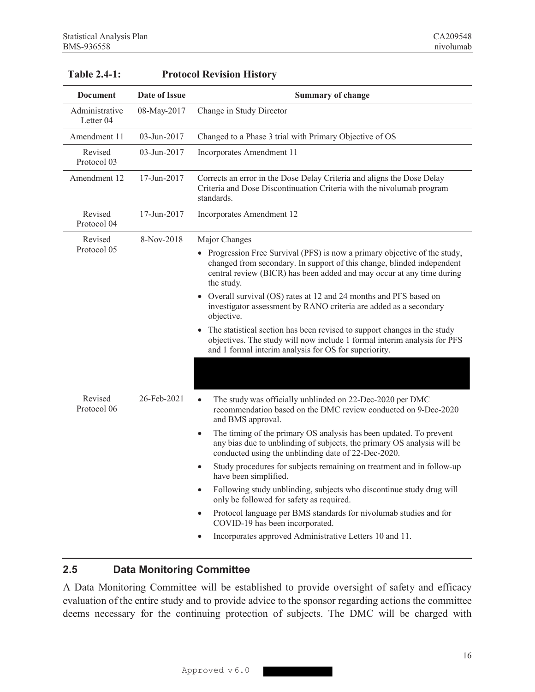| <b>Document</b>             | <b>Date of Issue</b> | <b>Summary of change</b>                                                                                                                                                                                                                  |  |  |  |
|-----------------------------|----------------------|-------------------------------------------------------------------------------------------------------------------------------------------------------------------------------------------------------------------------------------------|--|--|--|
| Administrative<br>Letter 04 | 08-May-2017          | Change in Study Director                                                                                                                                                                                                                  |  |  |  |
| Amendment 11                | 03-Jun-2017          | Changed to a Phase 3 trial with Primary Objective of OS                                                                                                                                                                                   |  |  |  |
| Revised<br>Protocol 03      | 03-Jun-2017          | Incorporates Amendment 11                                                                                                                                                                                                                 |  |  |  |
| Amendment 12                | 17-Jun-2017          | Corrects an error in the Dose Delay Criteria and aligns the Dose Delay<br>Criteria and Dose Discontinuation Criteria with the nivolumab program<br>standards.                                                                             |  |  |  |
| Revised<br>Protocol 04      | 17-Jun-2017          | Incorporates Amendment 12                                                                                                                                                                                                                 |  |  |  |
| Revised                     | 8-Nov-2018           | Major Changes                                                                                                                                                                                                                             |  |  |  |
| Protocol 05                 |                      | Progression Free Survival (PFS) is now a primary objective of the study,<br>changed from secondary. In support of this change, blinded independent<br>central review (BICR) has been added and may occur at any time during<br>the study. |  |  |  |
|                             |                      | Overall survival (OS) rates at 12 and 24 months and PFS based on<br>investigator assessment by RANO criteria are added as a secondary<br>objective.                                                                                       |  |  |  |
|                             |                      | The statistical section has been revised to support changes in the study<br>objectives. The study will now include 1 formal interim analysis for PFS<br>and 1 formal interim analysis for OS for superiority.                             |  |  |  |
|                             |                      |                                                                                                                                                                                                                                           |  |  |  |
| Revised<br>Protocol 06      | 26-Feb-2021          | The study was officially unblinded on 22-Dec-2020 per DMC<br>$\bullet$<br>recommendation based on the DMC review conducted on 9-Dec-2020<br>and BMS approval.                                                                             |  |  |  |
|                             |                      | The timing of the primary OS analysis has been updated. To prevent<br>any bias due to unblinding of subjects, the primary OS analysis will be<br>conducted using the unblinding date of 22-Dec-2020.                                      |  |  |  |
|                             |                      | Study procedures for subjects remaining on treatment and in follow-up<br>have been simplified.                                                                                                                                            |  |  |  |
|                             |                      | Following study unblinding, subjects who discontinue study drug will<br>only be followed for safety as required.                                                                                                                          |  |  |  |
|                             |                      | Protocol language per BMS standards for nivolumab studies and for<br>$\bullet$<br>COVID-19 has been incorporated.                                                                                                                         |  |  |  |
|                             |                      | Incorporates approved Administrative Letters 10 and 11.<br>$\bullet$                                                                                                                                                                      |  |  |  |

#### **Table 2.4-1: Protocol Revision History**

## **2.5 Data Monitoring Committee**

A Data Monitoring Committee will be established to provide oversight of safety and efficacy evaluation of the entire study and to provide advice to the sponsor regarding actions the committee deems necessary for the continuing protection of subjects. The DMC will be charged with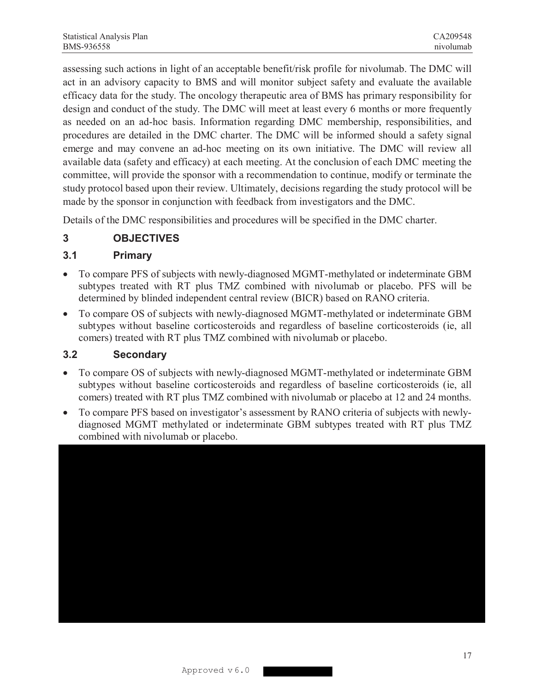assessing such actions in light of an acceptable benefit/risk profile for nivolumab. The DMC will act in an advisory capacity to BMS and will monitor subject safety and evaluate the available efficacy data for the study. The oncology therapeutic area of BMS has primary responsibility for design and conduct of the study. The DMC will meet at least every 6 months or more frequently as needed on an ad-hoc basis. Information regarding DMC membership, responsibilities, and procedures are detailed in the DMC charter. The DMC will be informed should a safety signal emerge and may convene an ad-hoc meeting on its own initiative. The DMC will review all available data (safety and efficacy) at each meeting. At the conclusion of each DMC meeting the committee, will provide the sponsor with a recommendation to continue, modify or terminate the study protocol based upon their review. Ultimately, decisions regarding the study protocol will be made by the sponsor in conjunction with feedback from investigators and the DMC.

Details of the DMC responsibilities and procedures will be specified in the DMC charter.

## **3 OBJECTIVES**

#### **3.1 Primary**

- To compare PFS of subjects with newly-diagnosed MGMT-methylated or indeterminate GBM subtypes treated with RT plus TMZ combined with nivolumab or placebo. PFS will be determined by blinded independent central review (BICR) based on RANO criteria.
- To compare OS of subjects with newly-diagnosed MGMT-methylated or indeterminate GBM subtypes without baseline corticosteroids and regardless of baseline corticosteroids (ie, all comers) treated with RT plus TMZ combined with nivolumab or placebo.

#### **3.2 Secondary**

- To compare OS of subjects with newly-diagnosed MGMT-methylated or indeterminate GBM subtypes without baseline corticosteroids and regardless of baseline corticosteroids (ie, all comers) treated with RT plus TMZ combined with nivolumab or placebo at 12 and 24 months.
- To compare PFS based on investigator's assessment by RANO criteria of subjects with newlydiagnosed MGMT methylated or indeterminate GBM subtypes treated with RT plus TMZ combined with nivolumab or placebo.

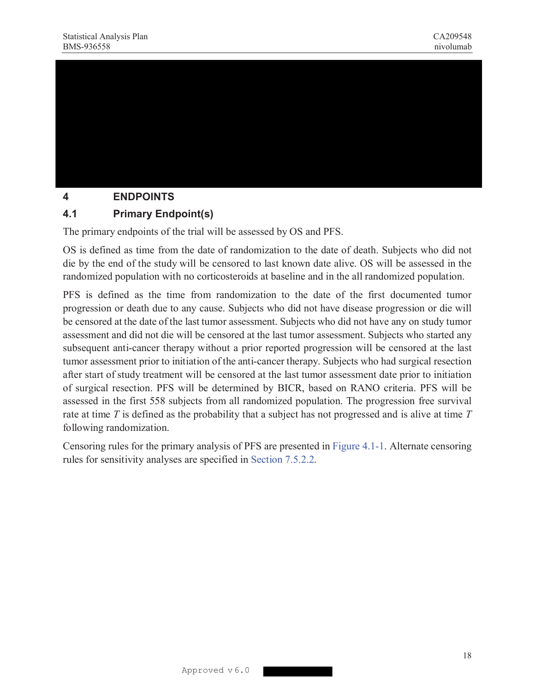#### **4 ENDPOINTS**

#### **4.1 Primary Endpoint(s)**

The primary endpoints of the trial will be assessed by OS and PFS.

OS is defined as time from the date of randomization to the date of death. Subjects who did not die by the end of the study will be censored to last known date alive. OS will be assessed in the randomized population with no corticosteroids at baseline and in the all randomized population.

PFS is defined as the time from randomization to the date of the first documented tumor progression or death due to any cause. Subjects who did not have disease progression or die will be censored at the date of the last tumor assessment. Subjects who did not have any on study tumor assessment and did not die will be censored at the last tumor assessment. Subjects who started any subsequent anti-cancer therapy without a prior reported progression will be censored at the last tumor assessment prior to initiation of the anti-cancer therapy. Subjects who had surgical resection after start of study treatment will be censored at the last tumor assessment date prior to initiation of surgical resection. PFS will be determined by BICR, based on RANO criteria. PFS will be assessed in the first 558 subjects from all randomized population. The progression free survival rate at time *T* is defined as the probability that a subject has not progressed and is alive at time *T* following randomization.

Censoring rules for the primary analysis of PFS are presented in Figure 4.1-1. Alternate censoring rules for sensitivity analyses are specified in Section 7.5.2.2.

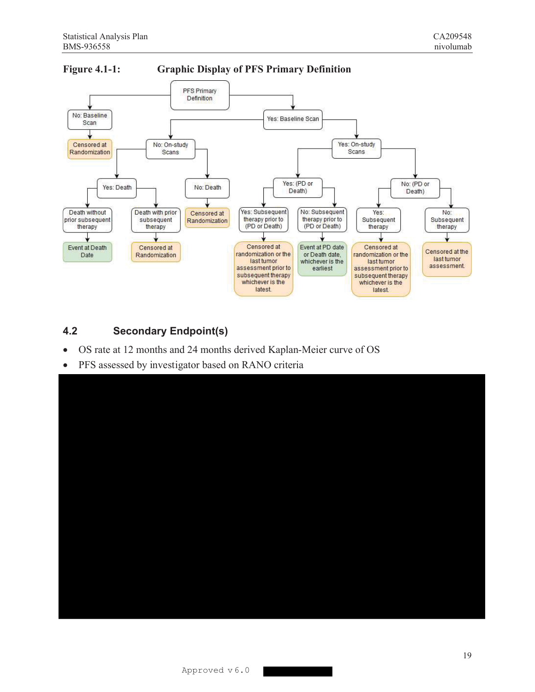

# **4.2 Secondary Endpoint(s)**

- OS rate at 12 months and 24 months derived Kaplan-Meier curve of OS
- PFS assessed by investigator based on RANO criteria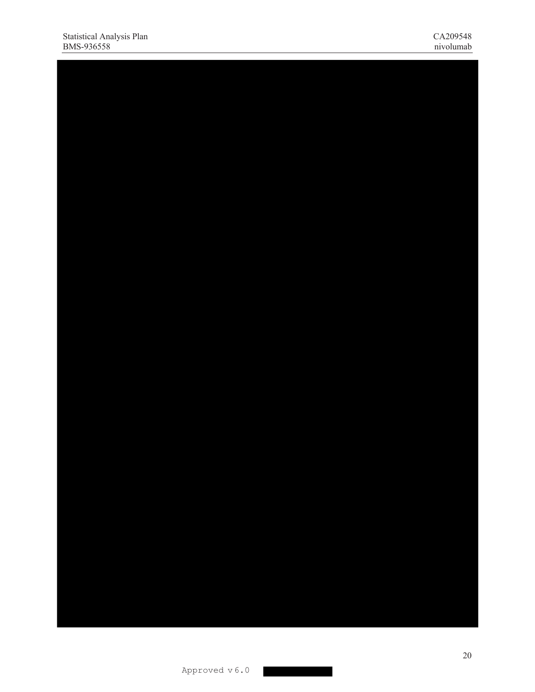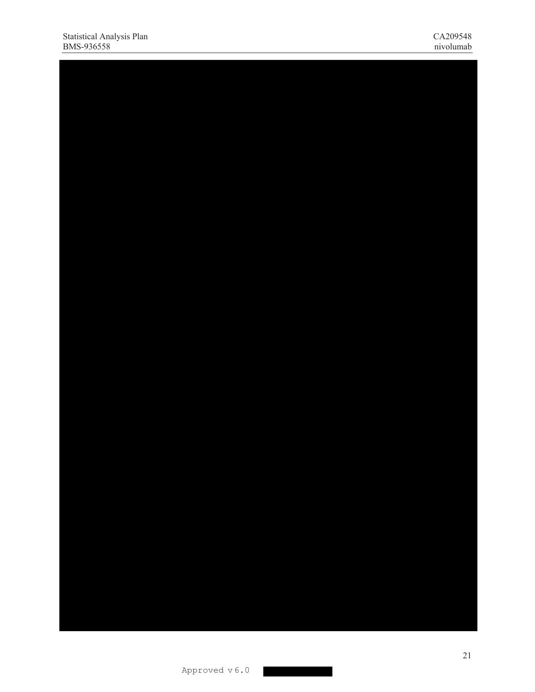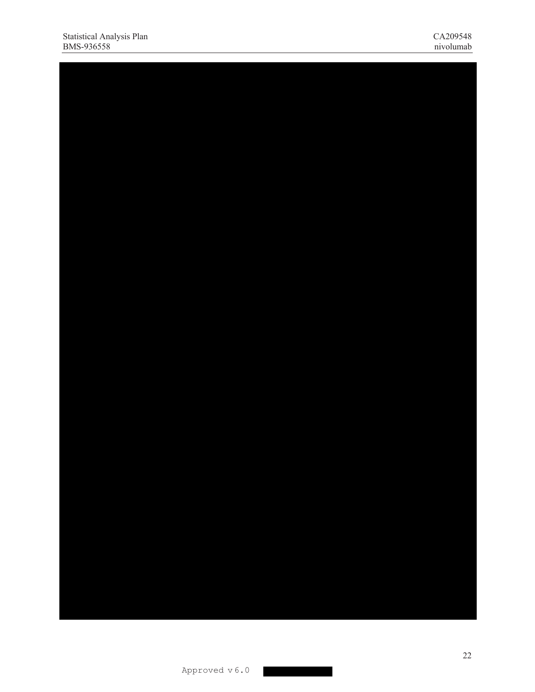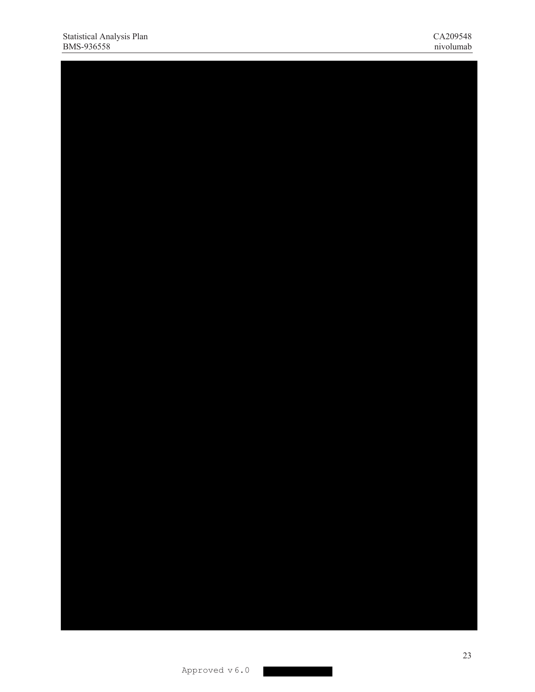Approved  $v 6.0$ 

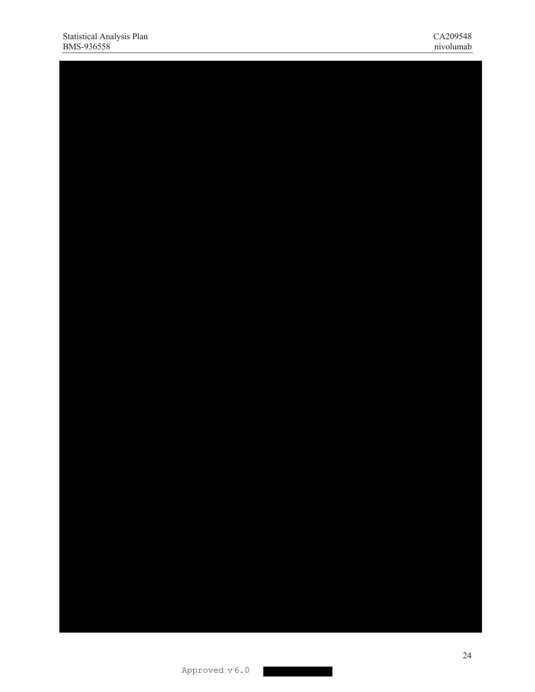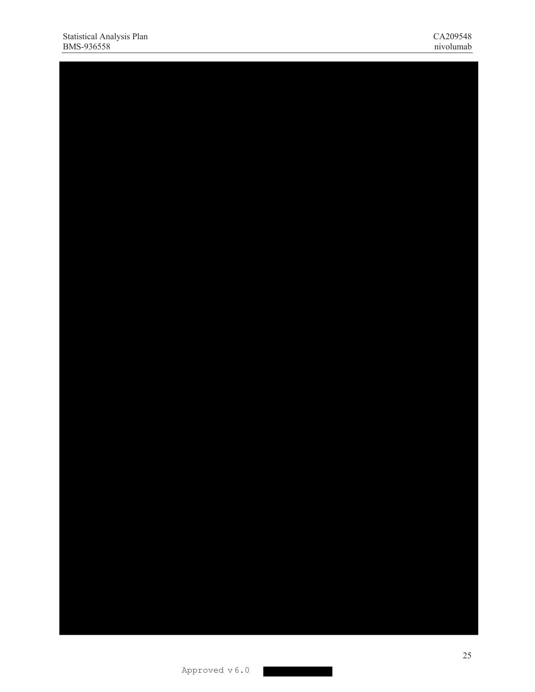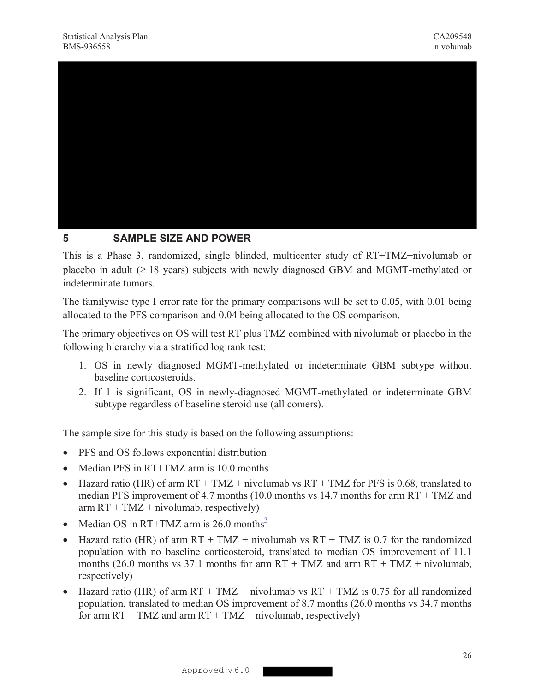

#### **5 SAMPLE SIZE AND POWER**

This is a Phase 3, randomized, single blinded, multicenter study of RT+TMZ+nivolumab or placebo in adult ( $\geq 18$  years) subjects with newly diagnosed GBM and MGMT-methylated or indeterminate tumors.

The familywise type I error rate for the primary comparisons will be set to 0.05, with 0.01 being allocated to the PFS comparison and 0.04 being allocated to the OS comparison.

The primary objectives on OS will test RT plus TMZ combined with nivolumab or placebo in the following hierarchy via a stratified log rank test:

- 1. OS in newly diagnosed MGMT-methylated or indeterminate GBM subtype without baseline corticosteroids.
- 2. If 1 is significant, OS in newly-diagnosed MGMT-methylated or indeterminate GBM subtype regardless of baseline steroid use (all comers).

The sample size for this study is based on the following assumptions:

- PFS and OS follows exponential distribution
- Median PFS in RT+TMZ arm is 10.0 months
- Hazard ratio (HR) of arm  $RT + TMZ + niv$  hivolumab vs  $RT + TMZ$  for PFS is 0.68, translated to median PFS improvement of 4.7 months (10.0 months vs 14.7 months for arm  $RT + TMZ$  and  $arm RT + TMZ + nivolumab, respectively)$
- Median OS in RT+TMZ arm is 26.0 months<sup>3</sup>
- Hazard ratio (HR) of arm  $RT + TMZ + nivolumab vs RT + TMZ$  is 0.7 for the randomized population with no baseline corticosteroid, translated to median OS improvement of 11.1 months (26.0 months vs 37.1 months for arm  $RT + TMZ$  and arm  $RT + TMZ + nivolumab$ , respectively)
- Hazard ratio (HR) of arm  $RT + TMZ + nivolumab$  vs  $RT + TMZ$  is 0.75 for all randomized population, translated to median OS improvement of 8.7 months (26.0 months vs 34.7 months for arm  $RT + TMZ$  and arm  $RT + TMZ + nivolumab$ , respectively)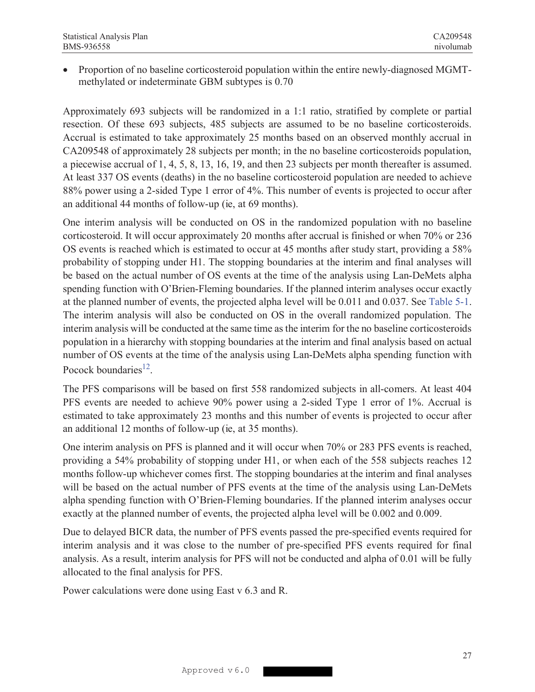• Proportion of no baseline corticosteroid population within the entire newly-diagnosed MGMTmethylated or indeterminate GBM subtypes is 0.70

Approximately 693 subjects will be randomized in a 1:1 ratio, stratified by complete or partial resection. Of these 693 subjects, 485 subjects are assumed to be no baseline corticosteroids. Accrual is estimated to take approximately 25 months based on an observed monthly accrual in CA209548 of approximately 28 subjects per month; in the no baseline corticosteroids population, a piecewise accrual of 1, 4, 5, 8, 13, 16, 19, and then 23 subjects per month thereafter is assumed. At least 337 OS events (deaths) in the no baseline corticosteroid population are needed to achieve 88% power using a 2-sided Type 1 error of 4%. This number of events is projected to occur after an additional 44 months of follow-up (ie, at 69 months).

One interim analysis will be conducted on OS in the randomized population with no baseline corticosteroid. It will occur approximately 20 months after accrual is finished or when 70% or 236 OS events is reached which is estimated to occur at 45 months after study start, providing a 58% probability of stopping under H1. The stopping boundaries at the interim and final analyses will be based on the actual number of OS events at the time of the analysis using Lan-DeMets alpha spending function with O'Brien-Fleming boundaries. If the planned interim analyses occur exactly at the planned number of events, the projected alpha level will be 0.011 and 0.037. See Table 5-1. The interim analysis will also be conducted on OS in the overall randomized population. The interim analysis will be conducted at the same time as the interim for the no baseline corticosteroids population in a hierarchy with stopping boundaries at the interim and final analysis based on actual number of OS events at the time of the analysis using Lan-DeMets alpha spending function with Pocock boundaries<sup>12</sup>.

The PFS comparisons will be based on first 558 randomized subjects in all-comers. At least 404 PFS events are needed to achieve 90% power using a 2-sided Type 1 error of 1%. Accrual is estimated to take approximately 23 months and this number of events is projected to occur after an additional 12 months of follow-up (ie, at 35 months).

One interim analysis on PFS is planned and it will occur when 70% or 283 PFS events is reached, providing a 54% probability of stopping under H1, or when each of the 558 subjects reaches 12 months follow-up whichever comes first. The stopping boundaries at the interim and final analyses will be based on the actual number of PFS events at the time of the analysis using Lan-DeMets alpha spending function with O'Brien-Fleming boundaries. If the planned interim analyses occur exactly at the planned number of events, the projected alpha level will be 0.002 and 0.009.

Due to delayed BICR data, the number of PFS events passed the pre-specified events required for interim analysis and it was close to the number of pre-specified PFS events required for final analysis. As a result, interim analysis for PFS will not be conducted and alpha of 0.01 will be fully allocated to the final analysis for PFS.

Power calculations were done using East v 6.3 and R.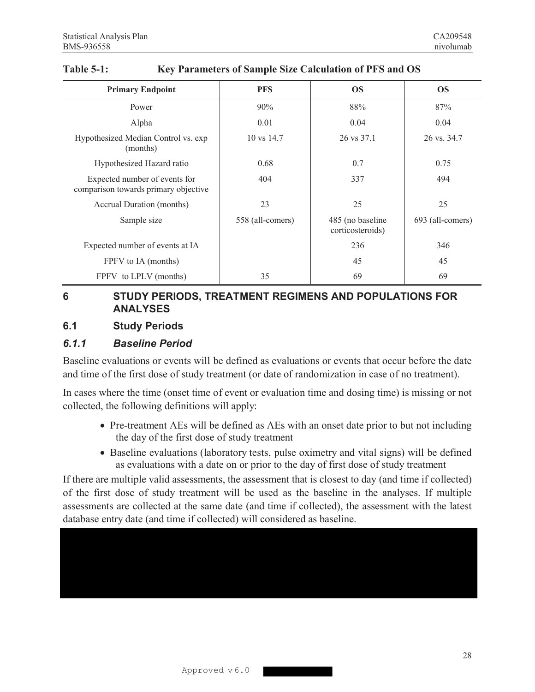| <b>Table 5-1:</b> | Key Parameters of Sample Size Calculation of PFS and OS |  |  |  |
|-------------------|---------------------------------------------------------|--|--|--|
|                   |                                                         |  |  |  |

| <b>Primary Endpoint</b>                                               | <b>PFS</b>            | <b>OS</b>                            | <b>OS</b>        |
|-----------------------------------------------------------------------|-----------------------|--------------------------------------|------------------|
| Power                                                                 | 90%                   | 88%                                  | 87%              |
| Alpha                                                                 | 0.01                  | 0.04                                 | 0.04             |
| Hypothesized Median Control vs. exp<br>(months)                       | $10 \text{ vs } 14.7$ | 26 vs 37.1                           | 26 vs. 34.7      |
| Hypothesized Hazard ratio                                             | 0.68                  | 0.7                                  | 0.75             |
| Expected number of events for<br>comparison towards primary objective | 404                   | 337                                  | 494              |
| Accrual Duration (months)                                             | 23                    | 25                                   | 25               |
| Sample size                                                           | 558 (all-comers)      | 485 (no baseline<br>corticosteroids) | 693 (all-comers) |
| Expected number of events at IA                                       |                       | 236                                  | 346              |
| FPFV to IA (months)                                                   |                       | 45                                   | 45               |
| FPFV to LPLV (months)                                                 | 35                    | 69                                   | 69               |

#### **6 STUDY PERIODS, TREATMENT REGIMENS AND POPULATIONS FOR ANALYSES**

#### **6.1 Study Periods**

#### *6.1.1 Baseline Period*

Baseline evaluations or events will be defined as evaluations or events that occur before the date and time of the first dose of study treatment (or date of randomization in case of no treatment).

In cases where the time (onset time of event or evaluation time and dosing time) is missing or not collected, the following definitions will apply:

- Pre-treatment AEs will be defined as AEs with an onset date prior to but not including the day of the first dose of study treatment
- Baseline evaluations (laboratory tests, pulse oximetry and vital signs) will be defined as evaluations with a date on or prior to the day of first dose of study treatment

If there are multiple valid assessments, the assessment that is closest to day (and time if collected) of the first dose of study treatment will be used as the baseline in the analyses. If multiple assessments are collected at the same date (and time if collected), the assessment with the latest database entry date (and time if collected) will considered as baseline.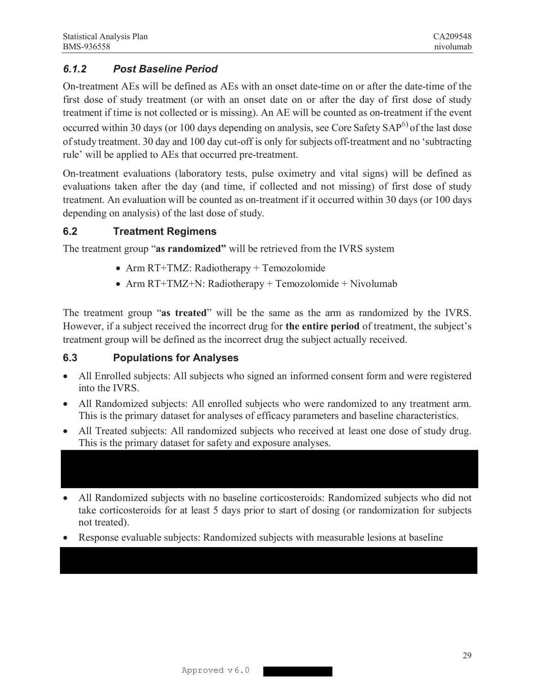## *6.1.2 Post Baseline Period*

On-treatment AEs will be defined as AEs with an onset date-time on or after the date-time of the first dose of study treatment (or with an onset date on or after the day of first dose of study treatment if time is not collected or is missing). An AE will be counted as on-treatment if the event occurred within 30 days (or 100 days depending on analysis, see Core Safety SAP<sup>6)</sup> of the last dose of study treatment. 30 day and 100 day cut-off is only for subjects off-treatment and no 'subtracting rule' will be applied to AEs that occurred pre-treatment.

On-treatment evaluations (laboratory tests, pulse oximetry and vital signs) will be defined as evaluations taken after the day (and time, if collected and not missing) of first dose of study treatment. An evaluation will be counted as on-treatment if it occurred within 30 days (or 100 days depending on analysis) of the last dose of study.

#### **6.2 Treatment Regimens**

The treatment group "**as randomized"** will be retrieved from the IVRS system

- Arm RT+TMZ: Radiotherapy + Temozolomide
- Arm RT+TMZ+N: Radiotherapy + Temozolomide + Nivolumab

The treatment group "**as treated**" will be the same as the arm as randomized by the IVRS. However, if a subject received the incorrect drug for **the entire period** of treatment, the subject's treatment group will be defined as the incorrect drug the subject actually received.

#### **6.3 Populations for Analyses**

- All Enrolled subjects: All subjects who signed an informed consent form and were registered into the IVRS.
- All Randomized subjects: All enrolled subjects who were randomized to any treatment arm. This is the primary dataset for analyses of efficacy parameters and baseline characteristics.
- All Treated subjects: All randomized subjects who received at least one dose of study drug. This is the primary dataset for safety and exposure analyses.

#### • All Randomized subjects with no baseline corticosteroids: Randomized subjects who did not take corticosteroids for at least 5 days prior to start of dosing (or randomization for subjects not treated).

• Response evaluable subjects: Randomized subjects with measurable lesions at baseline

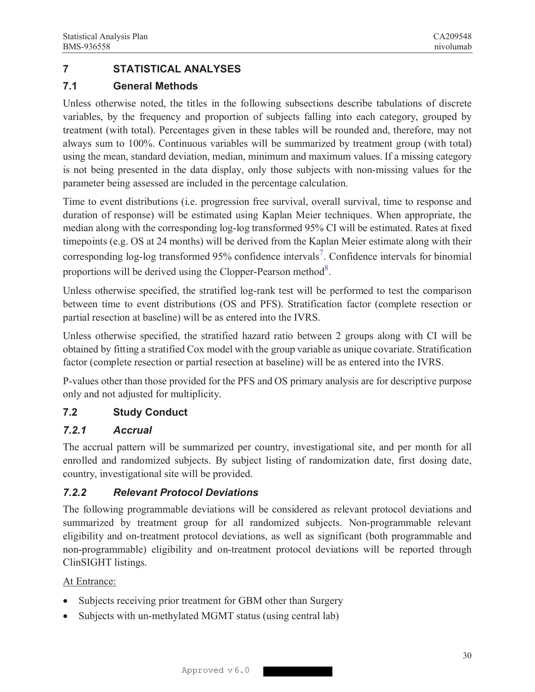## **7 STATISTICAL ANALYSES**

#### **7.1 General Methods**

Unless otherwise noted, the titles in the following subsections describe tabulations of discrete variables, by the frequency and proportion of subjects falling into each category, grouped by treatment (with total). Percentages given in these tables will be rounded and, therefore, may not always sum to 100%. Continuous variables will be summarized by treatment group (with total) using the mean, standard deviation, median, minimum and maximum values. If a missing category is not being presented in the data display, only those subjects with non-missing values for the parameter being assessed are included in the percentage calculation.

Time to event distributions (i.e. progression free survival, overall survival, time to response and duration of response) will be estimated using Kaplan Meier techniques. When appropriate, the median along with the corresponding log-log transformed 95% CI will be estimated. Rates at fixed timepoints (e.g. OS at 24 months) will be derived from the Kaplan Meier estimate along with their corresponding log-log transformed 95% confidence intervals<sup>7</sup>. Confidence intervals for binomial proportions will be derived using the Clopper-Pearson method<sup>8</sup>.

Unless otherwise specified, the stratified log-rank test will be performed to test the comparison between time to event distributions (OS and PFS). Stratification factor (complete resection or partial resection at baseline) will be as entered into the IVRS.

Unless otherwise specified, the stratified hazard ratio between 2 groups along with CI will be obtained by fitting a stratified Cox model with the group variable as unique covariate. Stratification factor (complete resection or partial resection at baseline) will be as entered into the IVRS.

P-values other than those provided for the PFS and OS primary analysis are for descriptive purpose only and not adjusted for multiplicity.

## **7.2 Study Conduct**

## *7.2.1 Accrual*

The accrual pattern will be summarized per country, investigational site, and per month for all enrolled and randomized subjects. By subject listing of randomization date, first dosing date, country, investigational site will be provided.

#### *7.2.2 Relevant Protocol Deviations*

The following programmable deviations will be considered as relevant protocol deviations and summarized by treatment group for all randomized subjects. Non-programmable relevant eligibility and on-treatment protocol deviations, as well as significant (both programmable and non-programmable) eligibility and on-treatment protocol deviations will be reported through ClinSIGHT listings.

#### At Entrance:

- Subjects receiving prior treatment for GBM other than Surgery
- Subjects with un-methylated MGMT status (using central lab)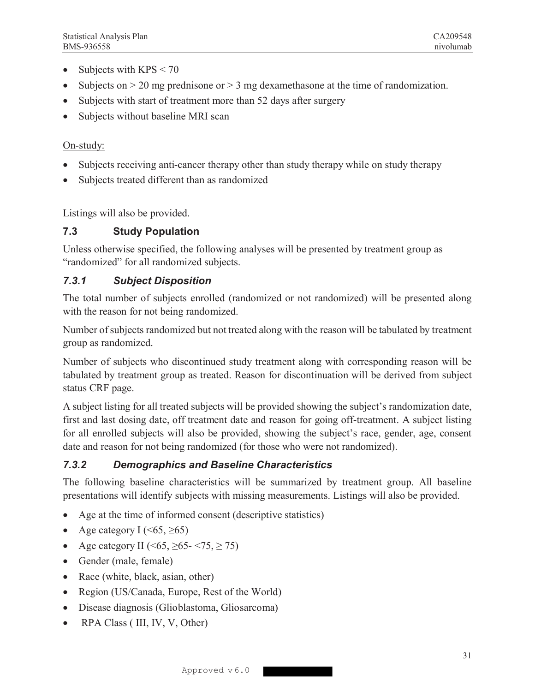- Subjects with  $KPS < 70$
- Subjects on  $> 20$  mg prednisone or  $> 3$  mg dexamethasone at the time of randomization.
- Subjects with start of treatment more than 52 days after surgery
- Subjects without baseline MRI scan

#### On-study:

- Subjects receiving anti-cancer therapy other than study therapy while on study therapy
- Subjects treated different than as randomized

Listings will also be provided.

#### **7.3 Study Population**

Unless otherwise specified, the following analyses will be presented by treatment group as "randomized" for all randomized subjects.

## *7.3.1 Subject Disposition*

The total number of subjects enrolled (randomized or not randomized) will be presented along with the reason for not being randomized.

Number of subjects randomized but not treated along with the reason will be tabulated by treatment group as randomized.

Number of subjects who discontinued study treatment along with corresponding reason will be tabulated by treatment group as treated. Reason for discontinuation will be derived from subject status CRF page.

A subject listing for all treated subjects will be provided showing the subject's randomization date, first and last dosing date, off treatment date and reason for going off-treatment. A subject listing for all enrolled subjects will also be provided, showing the subject's race, gender, age, consent date and reason for not being randomized (for those who were not randomized).

#### *7.3.2 Demographics and Baseline Characteristics*

The following baseline characteristics will be summarized by treatment group. All baseline presentations will identify subjects with missing measurements. Listings will also be provided.

- Age at the time of informed consent (descriptive statistics)
- Age category  $I (\le 65, \ge 65)$
- Age category II (<65,  $\geq 65 \leq 75$ ,  $\geq 75$ )
- Gender (male, female)
- Race (white, black, asian, other)
- Region (US/Canada, Europe, Rest of the World)
- Disease diagnosis (Glioblastoma, Gliosarcoma)
- RPA Class (III, IV, V, Other)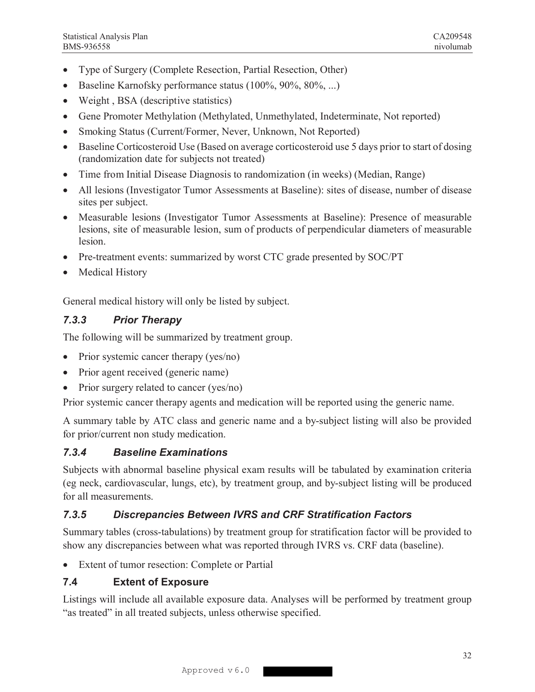- Type of Surgery (Complete Resection, Partial Resection, Other)
- Baseline Karnofsky performance status  $(100\%, 90\%, 80\%, ...)$
- Weight , BSA (descriptive statistics)
- Gene Promoter Methylation (Methylated, Unmethylated, Indeterminate, Not reported)
- Smoking Status (Current/Former, Never, Unknown, Not Reported)
- Baseline Corticosteroid Use (Based on average corticosteroid use 5 days prior to start of dosing (randomization date for subjects not treated)
- Time from Initial Disease Diagnosis to randomization (in weeks) (Median, Range)
- All lesions (Investigator Tumor Assessments at Baseline): sites of disease, number of disease sites per subject.
- Measurable lesions (Investigator Tumor Assessments at Baseline): Presence of measurable lesions, site of measurable lesion, sum of products of perpendicular diameters of measurable lesion.
- Pre-treatment events: summarized by worst CTC grade presented by SOC/PT
- Medical History

General medical history will only be listed by subject.

## *7.3.3 Prior Therapy*

The following will be summarized by treatment group.

- Prior systemic cancer therapy (yes/no)
- Prior agent received (generic name)
- Prior surgery related to cancer (yes/no)

Prior systemic cancer therapy agents and medication will be reported using the generic name.

A summary table by ATC class and generic name and a by-subject listing will also be provided for prior/current non study medication.

#### *7.3.4 Baseline Examinations*

Subjects with abnormal baseline physical exam results will be tabulated by examination criteria (eg neck, cardiovascular, lungs, etc), by treatment group, and by-subject listing will be produced for all measurements.

#### *7.3.5 Discrepancies Between IVRS and CRF Stratification Factors*

Summary tables (cross-tabulations) by treatment group for stratification factor will be provided to show any discrepancies between what was reported through IVRS vs. CRF data (baseline).

• Extent of tumor resection: Complete or Partial

#### **7.4 Extent of Exposure**

Listings will include all available exposure data. Analyses will be performed by treatment group "as treated" in all treated subjects, unless otherwise specified.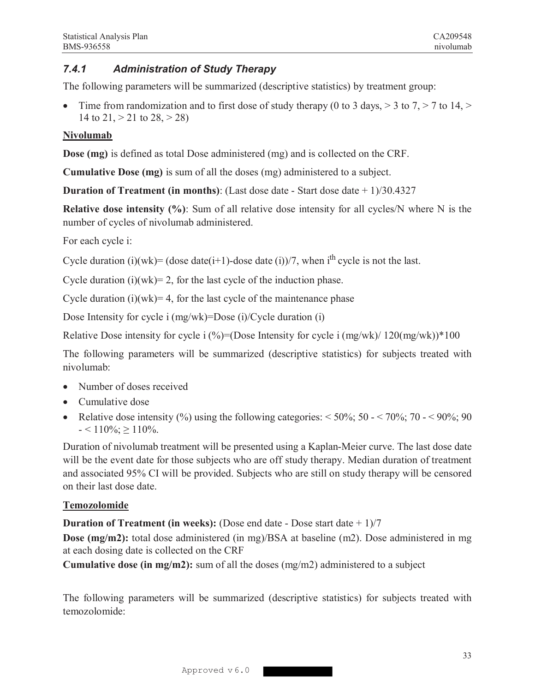#### *7.4.1 Administration of Study Therapy*

The following parameters will be summarized (descriptive statistics) by treatment group:

• Time from randomization and to first dose of study therapy (0 to 3 days,  $>$  3 to 7,  $>$  7 to 14,  $>$ 14 to 21,  $>$  21 to 28,  $>$  28)

#### **Nivolumab**

**Dose (mg)** is defined as total Dose administered (mg) and is collected on the CRF.

**Cumulative Dose (mg)** is sum of all the doses (mg) administered to a subject.

**Duration of Treatment (in months)**: (Last dose date - Start dose date + 1)/30.4327

**Relative dose intensity (%)**: Sum of all relative dose intensity for all cycles/N where N is the number of cycles of nivolumab administered.

For each cycle i:

Cycle duration (i)(wk)= (dose date(i+1)-dose date (i))/7, when i<sup>th</sup> cycle is not the last.

Cycle duration  $(i)(wk) = 2$ , for the last cycle of the induction phase.

Cycle duration  $(i)(wk)= 4$ , for the last cycle of the maintenance phase

Dose Intensity for cycle i (mg/wk)=Dose (i)/Cycle duration (i)

Relative Dose intensity for cycle i  $\frac{9}{6}$ =(Dose Intensity for cycle i  $\frac{mg}{wk}$ ) 120(mg/wk))\*100

The following parameters will be summarized (descriptive statistics) for subjects treated with nivolumab:

- Number of doses received
- Cumulative dose
- Relative dose intensity  $\frac{9}{9}$  using the following categories:  $\leq 50\%$ ; 50  $\leq 70\%$ ; 70  $\leq 90\%$ ; 90  $-$  < 110\%; > 110\%.

Duration of nivolumab treatment will be presented using a Kaplan-Meier curve. The last dose date will be the event date for those subjects who are off study therapy. Median duration of treatment and associated 95% CI will be provided. Subjects who are still on study therapy will be censored on their last dose date.

#### **Temozolomide**

**Duration of Treatment (in weeks):** (Dose end date - Dose start date + 1)/7

**Dose (mg/m2):** total dose administered (in mg)/BSA at baseline (m2). Dose administered in mg at each dosing date is collected on the CRF

**Cumulative dose (in mg/m2):** sum of all the doses (mg/m2) administered to a subject

The following parameters will be summarized (descriptive statistics) for subjects treated with temozolomide: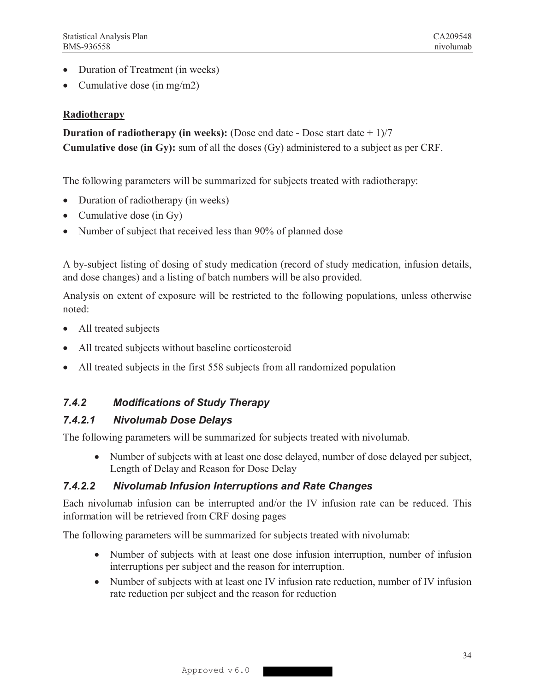- Duration of Treatment (in weeks)
- Cumulative dose (in mg/m2)

#### **Radiotherapy**

**Duration of radiotherapy (in weeks):** (Dose end date - Dose start date + 1)/7 **Cumulative dose (in Gy):** sum of all the doses (Gy) administered to a subject as per CRF.

The following parameters will be summarized for subjects treated with radiotherapy:

- Duration of radiotherapy (in weeks)
- Cumulative dose (in Gy)
- Number of subject that received less than 90% of planned dose

A by-subject listing of dosing of study medication (record of study medication, infusion details, and dose changes) and a listing of batch numbers will be also provided.

Analysis on extent of exposure will be restricted to the following populations, unless otherwise noted:

- All treated subjects
- All treated subjects without baseline corticosteroid
- All treated subjects in the first 558 subjects from all randomized population

#### *7.4.2 Modifications of Study Therapy*

#### *7.4.2.1 Nivolumab Dose Delays*

The following parameters will be summarized for subjects treated with nivolumab.

• Number of subjects with at least one dose delayed, number of dose delayed per subject, Length of Delay and Reason for Dose Delay

#### *7.4.2.2 Nivolumab Infusion Interruptions and Rate Changes*

Each nivolumab infusion can be interrupted and/or the IV infusion rate can be reduced. This information will be retrieved from CRF dosing pages

The following parameters will be summarized for subjects treated with nivolumab:

- Number of subjects with at least one dose infusion interruption, number of infusion interruptions per subject and the reason for interruption.
- Number of subjects with at least one IV infusion rate reduction, number of IV infusion rate reduction per subject and the reason for reduction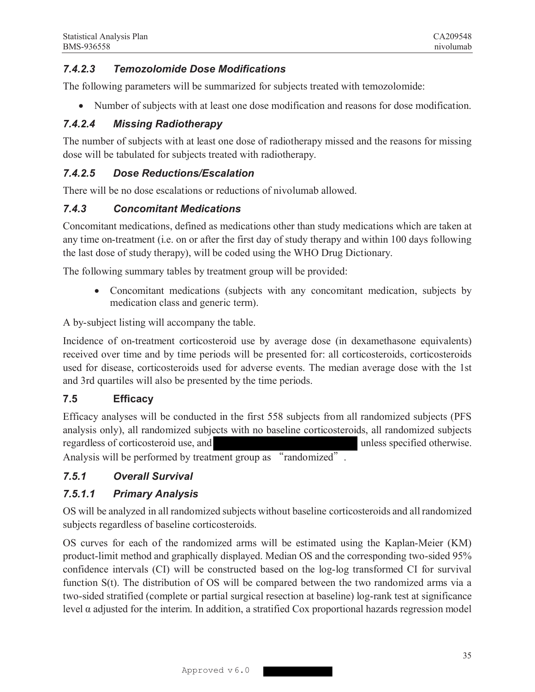#### *7.4.2.3 Temozolomide Dose Modifications*

The following parameters will be summarized for subjects treated with temozolomide:

• Number of subjects with at least one dose modification and reasons for dose modification.

#### *7.4.2.4 Missing Radiotherapy*

The number of subjects with at least one dose of radiotherapy missed and the reasons for missing dose will be tabulated for subjects treated with radiotherapy.

#### *7.4.2.5 Dose Reductions/Escalation*

There will be no dose escalations or reductions of nivolumab allowed.

#### *7.4.3 Concomitant Medications*

Concomitant medications, defined as medications other than study medications which are taken at any time on-treatment (i.e. on or after the first day of study therapy and within 100 days following the last dose of study therapy), will be coded using the WHO Drug Dictionary.

The following summary tables by treatment group will be provided:

• Concomitant medications (subjects with any concomitant medication, subjects by medication class and generic term).

A by-subject listing will accompany the table.

Incidence of on-treatment corticosteroid use by average dose (in dexamethasone equivalents) received over time and by time periods will be presented for: all corticosteroids, corticosteroids used for disease, corticosteroids used for adverse events. The median average dose with the 1st and 3rd quartiles will also be presented by the time periods.

#### **7.5 Efficacy**

Efficacy analyses will be conducted in the first 558 subjects from all randomized subjects (PFS analysis only), all randomized subjects with no baseline corticosteroids, all randomized subjects regardless of corticosteroid use, and unless specified otherwise. Analysis will be performed by treatment group as "randomized".

#### *7.5.1 Overall Survival*

#### *7.5.1.1 Primary Analysis*

OS will be analyzed in all randomized subjects without baseline corticosteroids and all randomized subjects regardless of baseline corticosteroids.

OS curves for each of the randomized arms will be estimated using the Kaplan-Meier (KM) product-limit method and graphically displayed. Median OS and the corresponding two-sided 95% confidence intervals (CI) will be constructed based on the log-log transformed CI for survival function S(t). The distribution of OS will be compared between the two randomized arms via a two-sided stratified (complete or partial surgical resection at baseline) log-rank test at significance level α adjusted for the interim. In addition, a stratified Cox proportional hazards regression model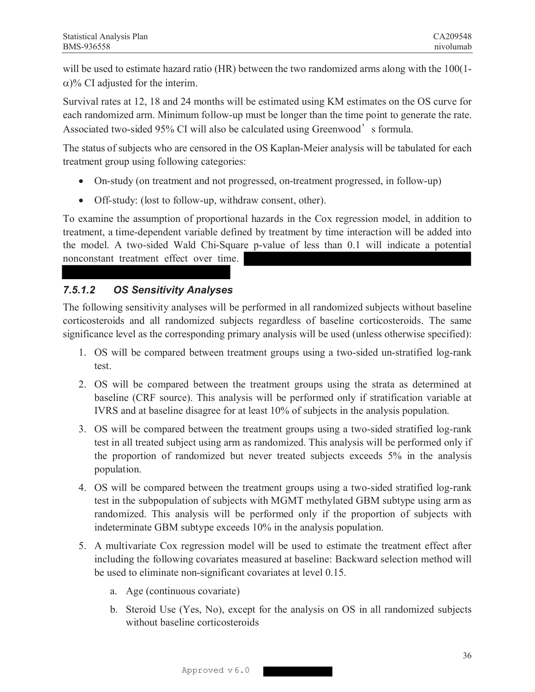will be used to estimate hazard ratio (HR) between the two randomized arms along with the 100(1  $α$ )% CI adjusted for the interim.

Survival rates at 12, 18 and 24 months will be estimated using KM estimates on the OS curve for each randomized arm. Minimum follow-up must be longer than the time point to generate the rate. Associated two-sided 95% CI will also be calculated using Greenwood̓s formula.

The status of subjects who are censored in the OS Kaplan-Meier analysis will be tabulated for each treatment group using following categories:

- On-study (on treatment and not progressed, on-treatment progressed, in follow-up)
- Off-study: (lost to follow-up, withdraw consent, other).

To examine the assumption of proportional hazards in the Cox regression model, in addition to treatment, a time-dependent variable defined by treatment by time interaction will be added into the model. A two-sided Wald Chi-Square p-value of less than 0.1 will indicate a potential nonconstant treatment effect over time.

## *7.5.1.2 OS Sensitivity Analyses*

The following sensitivity analyses will be performed in all randomized subjects without baseline corticosteroids and all randomized subjects regardless of baseline corticosteroids. The same significance level as the corresponding primary analysis will be used (unless otherwise specified):

- 1. OS will be compared between treatment groups using a two-sided un-stratified log-rank test.
- 2. OS will be compared between the treatment groups using the strata as determined at baseline (CRF source). This analysis will be performed only if stratification variable at IVRS and at baseline disagree for at least 10% of subjects in the analysis population.
- 3. OS will be compared between the treatment groups using a two-sided stratified log-rank test in all treated subject using arm as randomized. This analysis will be performed only if the proportion of randomized but never treated subjects exceeds 5% in the analysis population.
- 4. OS will be compared between the treatment groups using a two-sided stratified log-rank test in the subpopulation of subjects with MGMT methylated GBM subtype using arm as randomized. This analysis will be performed only if the proportion of subjects with indeterminate GBM subtype exceeds 10% in the analysis population.
- 5. A multivariate Cox regression model will be used to estimate the treatment effect after including the following covariates measured at baseline: Backward selection method will be used to eliminate non-significant covariates at level 0.15.
	- a. Age (continuous covariate)
	- b. Steroid Use (Yes, No), except for the analysis on OS in all randomized subjects without baseline corticosteroids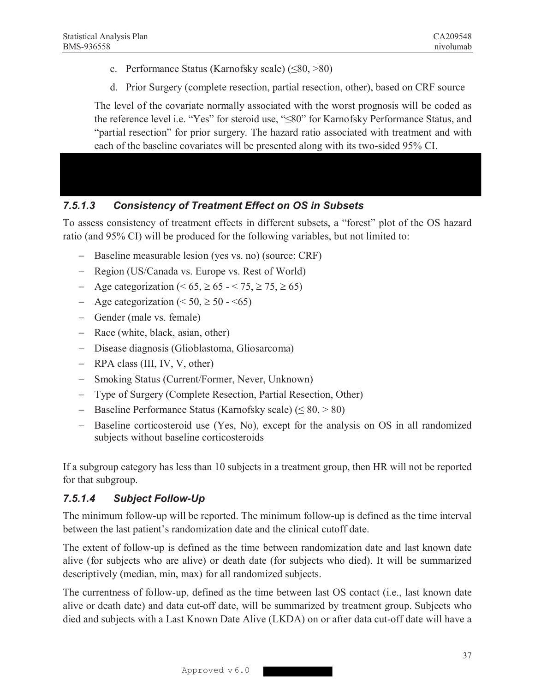- c. Performance Status (Karnofsky scale) (≤80, >80)
- d. Prior Surgery (complete resection, partial resection, other), based on CRF source

The level of the covariate normally associated with the worst prognosis will be coded as the reference level i.e. "Yes" for steroid use, "≤80" for Karnofsky Performance Status, and "partial resection" for prior surgery. The hazard ratio associated with treatment and with each of the baseline covariates will be presented along with its two-sided 95% CI.

#### *7.5.1.3 Consistency of Treatment Effect on OS in Subsets*

To assess consistency of treatment effects in different subsets, a "forest" plot of the OS hazard ratio (and 95% CI) will be produced for the following variables, but not limited to:

- − Baseline measurable lesion (yes vs. no) (source: CRF)
- − Region (US/Canada vs. Europe vs. Rest of World)
- − Age categorization (< 65, ≥ 65 < 75, ≥ 75, ≥ 65)
- $-$  Age categorization (< 50,  $\geq$  50 <65)
- − Gender (male vs. female)
- − Race (white, black, asian, other)
- − Disease diagnosis (Glioblastoma, Gliosarcoma)
- − RPA class (III, IV, V, other)
- − Smoking Status (Current/Former, Never, Unknown)
- − Type of Surgery (Complete Resection, Partial Resection, Other)
- − Baseline Performance Status (Karnofsky scale) (≤ 80, > 80)
- − Baseline corticosteroid use (Yes, No), except for the analysis on OS in all randomized subjects without baseline corticosteroids

If a subgroup category has less than 10 subjects in a treatment group, then HR will not be reported for that subgroup.

#### *7.5.1.4 Subject Follow-Up*

The minimum follow-up will be reported. The minimum follow-up is defined as the time interval between the last patient's randomization date and the clinical cutoff date.

The extent of follow-up is defined as the time between randomization date and last known date alive (for subjects who are alive) or death date (for subjects who died). It will be summarized descriptively (median, min, max) for all randomized subjects.

The currentness of follow-up, defined as the time between last OS contact (i.e., last known date alive or death date) and data cut-off date, will be summarized by treatment group. Subjects who died and subjects with a Last Known Date Alive (LKDA) on or after data cut-off date will have a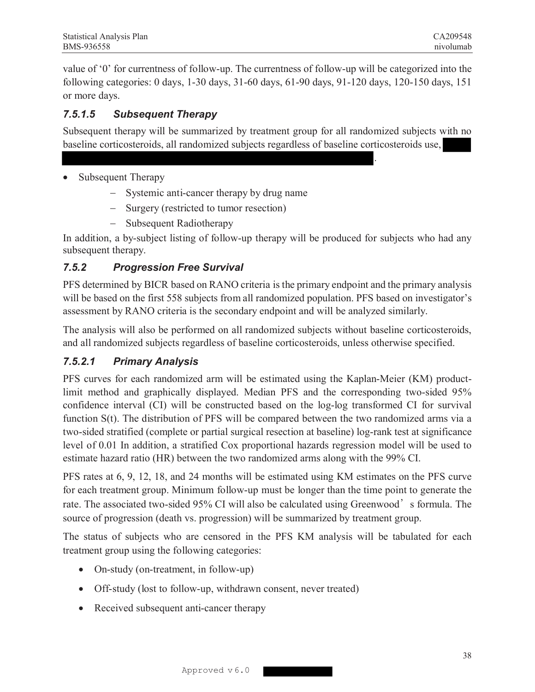.

value of '0' for currentness of follow-up. The currentness of follow-up will be categorized into the following categories: 0 days, 1-30 days, 31-60 days, 61-90 days, 91-120 days, 120-150 days, 151 or more days.

#### *7.5.1.5 Subsequent Therapy*

Subsequent therapy will be summarized by treatment group for all randomized subjects with no baseline corticosteroids, all randomized subjects regardless of baseline corticosteroids use,

- Subsequent Therapy
	- − Systemic anti-cancer therapy by drug name
	- − Surgery (restricted to tumor resection)
	- − Subsequent Radiotherapy

In addition, a by-subject listing of follow-up therapy will be produced for subjects who had any subsequent therapy.

## *7.5.2 Progression Free Survival*

PFS determined by BICR based on RANO criteria is the primary endpoint and the primary analysis will be based on the first 558 subjects from all randomized population. PFS based on investigator's assessment by RANO criteria is the secondary endpoint and will be analyzed similarly.

The analysis will also be performed on all randomized subjects without baseline corticosteroids, and all randomized subjects regardless of baseline corticosteroids, unless otherwise specified.

## *7.5.2.1 Primary Analysis*

PFS curves for each randomized arm will be estimated using the Kaplan-Meier (KM) productlimit method and graphically displayed. Median PFS and the corresponding two-sided 95% confidence interval (CI) will be constructed based on the log-log transformed CI for survival function S(t). The distribution of PFS will be compared between the two randomized arms via a two-sided stratified (complete or partial surgical resection at baseline) log-rank test at significance level of 0.01 In addition, a stratified Cox proportional hazards regression model will be used to estimate hazard ratio (HR) between the two randomized arms along with the 99% CI.

PFS rates at 6, 9, 12, 18, and 24 months will be estimated using KM estimates on the PFS curve for each treatment group. Minimum follow-up must be longer than the time point to generate the rate. The associated two-sided 95% CI will also be calculated using Greenwood's formula. The source of progression (death vs. progression) will be summarized by treatment group.

The status of subjects who are censored in the PFS KM analysis will be tabulated for each treatment group using the following categories:

- On-study (on-treatment, in follow-up)
- Off-study (lost to follow-up, withdrawn consent, never treated)
- Received subsequent anti-cancer therapy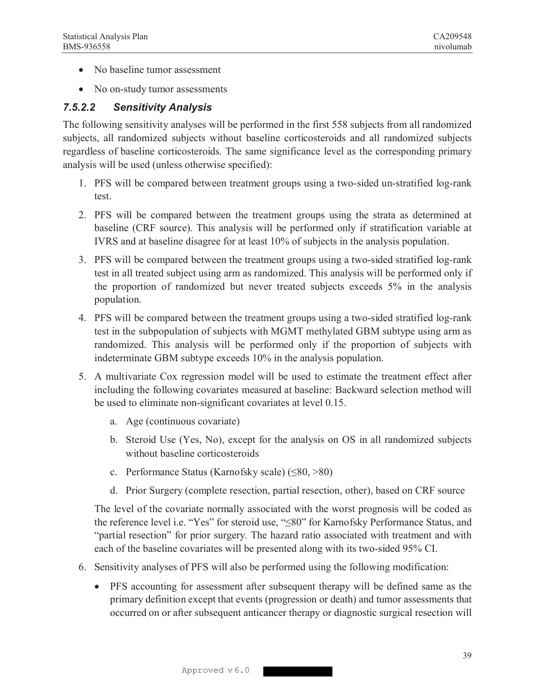- No baseline tumor assessment
- No on-study tumor assessments

#### *7.5.2.2 Sensitivity Analysis*

The following sensitivity analyses will be performed in the first 558 subjects from all randomized subjects, all randomized subjects without baseline corticosteroids and all randomized subjects regardless of baseline corticosteroids. The same significance level as the corresponding primary analysis will be used (unless otherwise specified):

- 1. PFS will be compared between treatment groups using a two-sided un-stratified log-rank test.
- 2. PFS will be compared between the treatment groups using the strata as determined at baseline (CRF source). This analysis will be performed only if stratification variable at IVRS and at baseline disagree for at least 10% of subjects in the analysis population.
- 3. PFS will be compared between the treatment groups using a two-sided stratified log-rank test in all treated subject using arm as randomized. This analysis will be performed only if the proportion of randomized but never treated subjects exceeds 5% in the analysis population.
- 4. PFS will be compared between the treatment groups using a two-sided stratified log-rank test in the subpopulation of subjects with MGMT methylated GBM subtype using arm as randomized. This analysis will be performed only if the proportion of subjects with indeterminate GBM subtype exceeds 10% in the analysis population.
- 5. A multivariate Cox regression model will be used to estimate the treatment effect after including the following covariates measured at baseline: Backward selection method will be used to eliminate non-significant covariates at level 0.15.
	- a. Age (continuous covariate)
	- b. Steroid Use (Yes, No), except for the analysis on OS in all randomized subjects without baseline corticosteroids
	- c. Performance Status (Karnofsky scale) (≤80, >80)
	- d. Prior Surgery (complete resection, partial resection, other), based on CRF source

The level of the covariate normally associated with the worst prognosis will be coded as the reference level i.e. "Yes" for steroid use, "≤80" for Karnofsky Performance Status, and "partial resection" for prior surgery. The hazard ratio associated with treatment and with each of the baseline covariates will be presented along with its two-sided 95% CI.

- 6. Sensitivity analyses of PFS will also be performed using the following modification:
	- PFS accounting for assessment after subsequent therapy will be defined same as the primary definition except that events (progression or death) and tumor assessments that occurred on or after subsequent anticancer therapy or diagnostic surgical resection will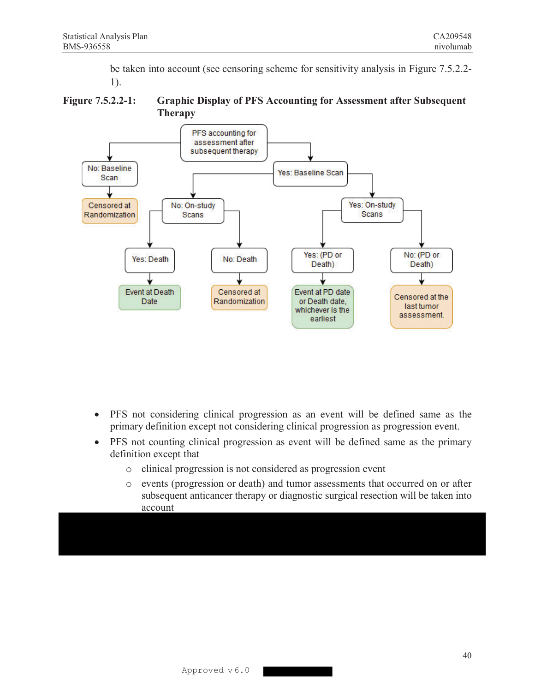be taken into account (see censoring scheme for sensitivity analysis in Figure 7.5.2.2- 1).





- PFS not considering clinical progression as an event will be defined same as the primary definition except not considering clinical progression as progression event.
- PFS not counting clinical progression as event will be defined same as the primary definition except that
	- o clinical progression is not considered as progression event
	- o events (progression or death) and tumor assessments that occurred on or after subsequent anticancer therapy or diagnostic surgical resection will be taken into account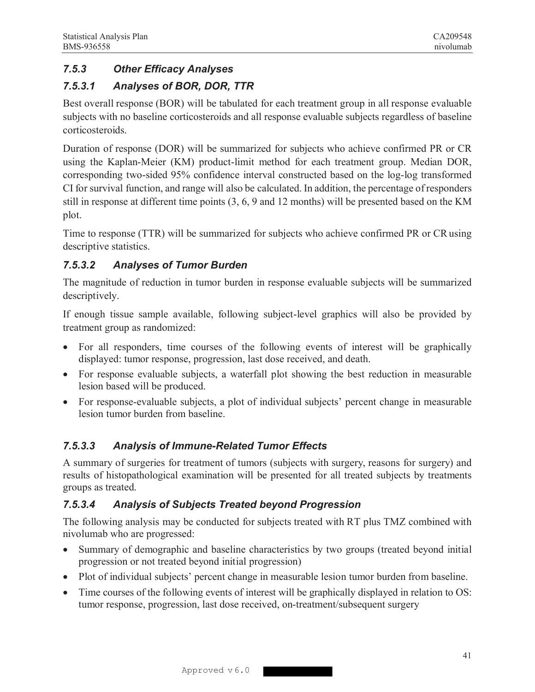## *7.5.3 Other Efficacy Analyses*

## *7.5.3.1 Analyses of BOR, DOR, TTR*

Best overall response (BOR) will be tabulated for each treatment group in all response evaluable subjects with no baseline corticosteroids and all response evaluable subjects regardless of baseline corticosteroids.

Duration of response (DOR) will be summarized for subjects who achieve confirmed PR or CR using the Kaplan-Meier (KM) product-limit method for each treatment group. Median DOR, corresponding two-sided 95% confidence interval constructed based on the log-log transformed CI for survival function, and range will also be calculated. In addition, the percentage of responders still in response at different time points (3, 6, 9 and 12 months) will be presented based on the KM plot.

Time to response (TTR) will be summarized for subjects who achieve confirmed PR or CR using descriptive statistics.

## *7.5.3.2 Analyses of Tumor Burden*

The magnitude of reduction in tumor burden in response evaluable subjects will be summarized descriptively.

If enough tissue sample available, following subject-level graphics will also be provided by treatment group as randomized:

- For all responders, time courses of the following events of interest will be graphically displayed: tumor response, progression, last dose received, and death.
- For response evaluable subjects, a waterfall plot showing the best reduction in measurable lesion based will be produced.
- For response-evaluable subjects, a plot of individual subjects' percent change in measurable lesion tumor burden from baseline.

#### *7.5.3.3 Analysis of Immune-Related Tumor Effects*

A summary of surgeries for treatment of tumors (subjects with surgery, reasons for surgery) and results of histopathological examination will be presented for all treated subjects by treatments groups as treated.

#### *7.5.3.4 Analysis of Subjects Treated beyond Progression*

The following analysis may be conducted for subjects treated with RT plus TMZ combined with nivolumab who are progressed:

- Summary of demographic and baseline characteristics by two groups (treated beyond initial progression or not treated beyond initial progression)
- Plot of individual subjects' percent change in measurable lesion tumor burden from baseline.
- Time courses of the following events of interest will be graphically displayed in relation to OS: tumor response, progression, last dose received, on-treatment/subsequent surgery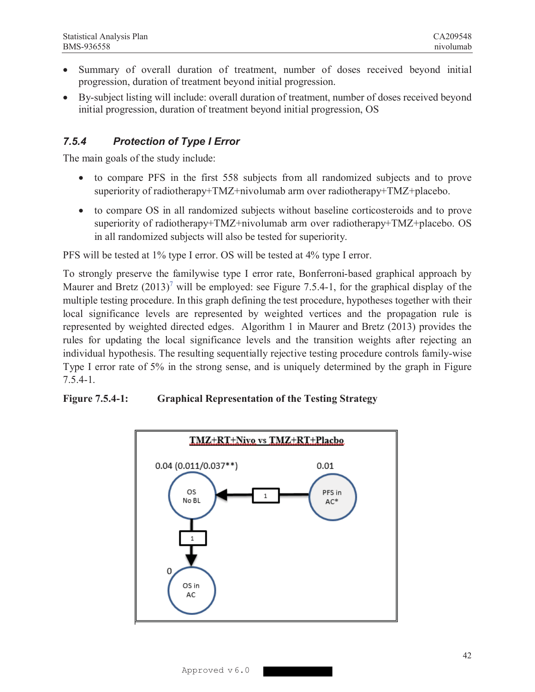- Summary of overall duration of treatment, number of doses received beyond initial progression, duration of treatment beyond initial progression.
- By-subject listing will include: overall duration of treatment, number of doses received beyond initial progression, duration of treatment beyond initial progression, OS

## *7.5.4 Protection of Type I Error*

The main goals of the study include:

- to compare PFS in the first 558 subjects from all randomized subjects and to prove superiority of radiotherapy+TMZ+nivolumab arm over radiotherapy+TMZ+placebo.
- to compare OS in all randomized subjects without baseline corticosteroids and to prove superiority of radiotherapy+TMZ+nivolumab arm over radiotherapy+TMZ+placebo. OS in all randomized subjects will also be tested for superiority.

PFS will be tested at 1% type I error. OS will be tested at 4% type I error.

To strongly preserve the familywise type I error rate, Bonferroni-based graphical approach by Maurer and Bretz  $(2013)^7$  will be employed: see Figure 7.5.4-1, for the graphical display of the multiple testing procedure. In this graph defining the test procedure, hypotheses together with their local significance levels are represented by weighted vertices and the propagation rule is represented by weighted directed edges. Algorithm 1 in Maurer and Bretz (2013) provides the rules for updating the local significance levels and the transition weights after rejecting an individual hypothesis. The resulting sequentially rejective testing procedure controls family-wise Type I error rate of 5% in the strong sense, and is uniquely determined by the graph in Figure 7.5.4-1.



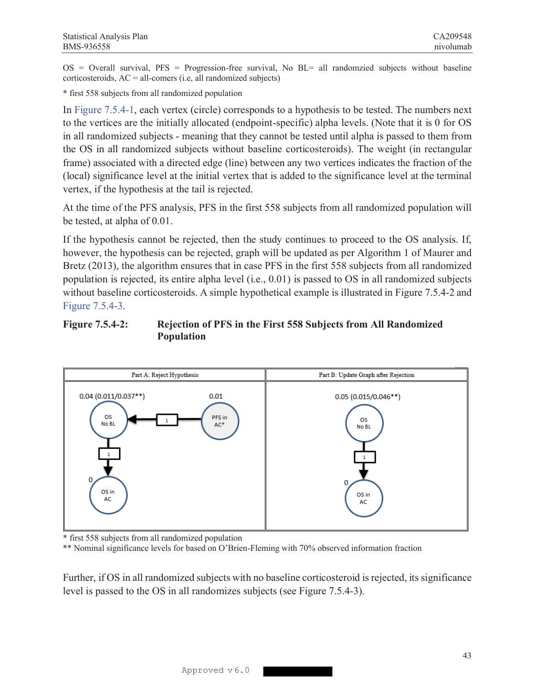$OS =$  Overall survival, PFS = Progression-free survival, No BL= all randomzied subjects without baseline corticosteroids, AC = all-comers (i.e, all randomized subjects)

\* first 558 subjects from all randomized population

In Figure 7.5.4-1, each vertex (circle) corresponds to a hypothesis to be tested. The numbers next to the vertices are the initially allocated (endpoint-specific) alpha levels. (Note that it is 0 for OS in all randomized subjects - meaning that they cannot be tested until alpha is passed to them from the OS in all randomized subjects without baseline corticosteroids). The weight (in rectangular frame) associated with a directed edge (line) between any two vertices indicates the fraction of the (local) significance level at the initial vertex that is added to the significance level at the terminal vertex, if the hypothesis at the tail is rejected.

At the time of the PFS analysis, PFS in the first 558 subjects from all randomized population will be tested, at alpha of 0.01.

If the hypothesis cannot be rejected, then the study continues to proceed to the OS analysis. If, however, the hypothesis can be rejected, graph will be updated as per Algorithm 1 of Maurer and Bretz (2013), the algorithm ensures that in case PFS in the first 558 subjects from all randomized population is rejected, its entire alpha level (i.e., 0.01) is passed to OS in all randomized subjects without baseline corticosteroids. A simple hypothetical example is illustrated in Figure 7.5.4-2 and Figure 7.5.4-3.

#### **Figure 7.5.4-2: Rejection of PFS in the First 558 Subjects from All Randomized Population**



\* first 558 subjects from all randomized population

\*\* Nominal significance levels for based on O'Brien-Fleming with 70% observed information fraction

Further, if OS in all randomized subjects with no baseline corticosteroid is rejected, its significance level is passed to the OS in all randomizes subjects (see Figure 7.5.4-3).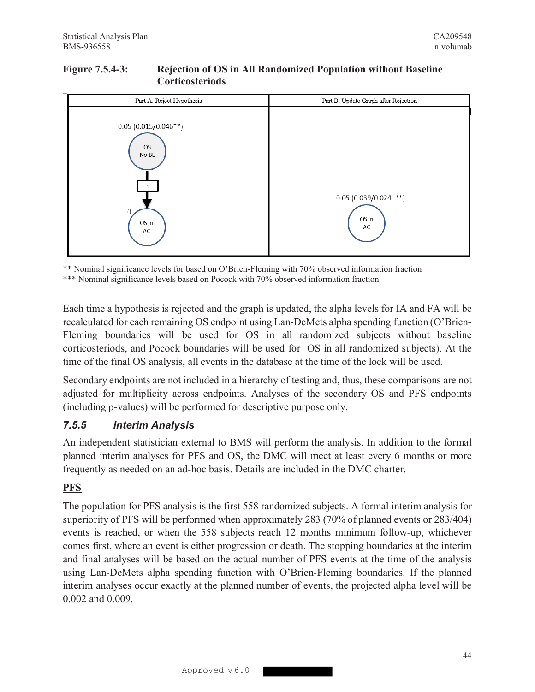#### **Figure 7.5.4-3: Rejection of OS in All Randomized Population without Baseline Corticosteriods**



\*\* Nominal significance levels for based on O'Brien-Fleming with 70% observed information fraction \*\*\* Nominal significance levels based on Pocock with 70% observed information fraction

Each time a hypothesis is rejected and the graph is updated, the alpha levels for IA and FA will be recalculated for each remaining OS endpoint using Lan-DeMets alpha spending function (O'Brien-Fleming boundaries will be used for OS in all randomized subjects without baseline corticosteriods, and Pocock boundaries will be used for OS in all randomized subjects). At the time of the final OS analysis, all events in the database at the time of the lock will be used.

Secondary endpoints are not included in a hierarchy of testing and, thus, these comparisons are not adjusted for multiplicity across endpoints. Analyses of the secondary OS and PFS endpoints (including p-values) will be performed for descriptive purpose only.

#### *7.5.5 Interim Analysis*

An independent statistician external to BMS will perform the analysis. In addition to the formal planned interim analyses for PFS and OS, the DMC will meet at least every 6 months or more frequently as needed on an ad-hoc basis. Details are included in the DMC charter.

#### **PFS**

The population for PFS analysis is the first 558 randomized subjects. A formal interim analysis for superiority of PFS will be performed when approximately 283 (70% of planned events or 283/404) events is reached, or when the 558 subjects reach 12 months minimum follow-up, whichever comes first, where an event is either progression or death. The stopping boundaries at the interim and final analyses will be based on the actual number of PFS events at the time of the analysis using Lan-DeMets alpha spending function with O'Brien-Fleming boundaries. If the planned interim analyses occur exactly at the planned number of events, the projected alpha level will be 0.002 and 0.009.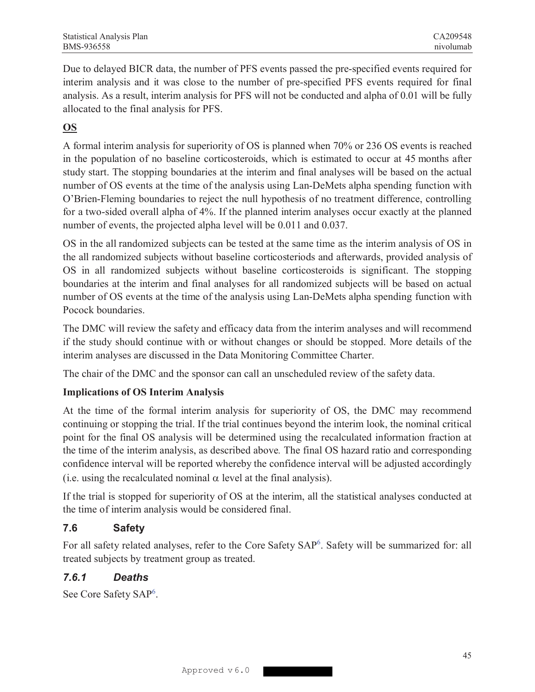Due to delayed BICR data, the number of PFS events passed the pre-specified events required for interim analysis and it was close to the number of pre-specified PFS events required for final analysis. As a result, interim analysis for PFS will not be conducted and alpha of 0.01 will be fully allocated to the final analysis for PFS.

## **OS**

A formal interim analysis for superiority of OS is planned when 70% or 236 OS events is reached in the population of no baseline corticosteroids, which is estimated to occur at 45 months after study start. The stopping boundaries at the interim and final analyses will be based on the actual number of OS events at the time of the analysis using Lan-DeMets alpha spending function with O'Brien-Fleming boundaries to reject the null hypothesis of no treatment difference, controlling for a two-sided overall alpha of 4%. If the planned interim analyses occur exactly at the planned number of events, the projected alpha level will be 0.011 and 0.037.

OS in the all randomized subjects can be tested at the same time as the interim analysis of OS in the all randomized subjects without baseline corticosteriods and afterwards, provided analysis of OS in all randomized subjects without baseline corticosteroids is significant. The stopping boundaries at the interim and final analyses for all randomized subjects will be based on actual number of OS events at the time of the analysis using Lan-DeMets alpha spending function with Pocock boundaries.

The DMC will review the safety and efficacy data from the interim analyses and will recommend if the study should continue with or without changes or should be stopped. More details of the interim analyses are discussed in the Data Monitoring Committee Charter.

The chair of the DMC and the sponsor can call an unscheduled review of the safety data.

#### **Implications of OS Interim Analysis**

At the time of the formal interim analysis for superiority of OS, the DMC may recommend continuing or stopping the trial. If the trial continues beyond the interim look, the nominal critical point for the final OS analysis will be determined using the recalculated information fraction at the time of the interim analysis, as described above*.* The final OS hazard ratio and corresponding confidence interval will be reported whereby the confidence interval will be adjusted accordingly (i.e. using the recalculated nominal  $\alpha$  level at the final analysis).

If the trial is stopped for superiority of OS at the interim, all the statistical analyses conducted at the time of interim analysis would be considered final.

#### **7.6 Safety**

For all safety related analyses, refer to the Core Safety SAP<sup>6</sup>. Safety will be summarized for: all treated subjects by treatment group as treated.

#### *7.6.1 Deaths*

See Core Safety SAP<sup>6</sup>.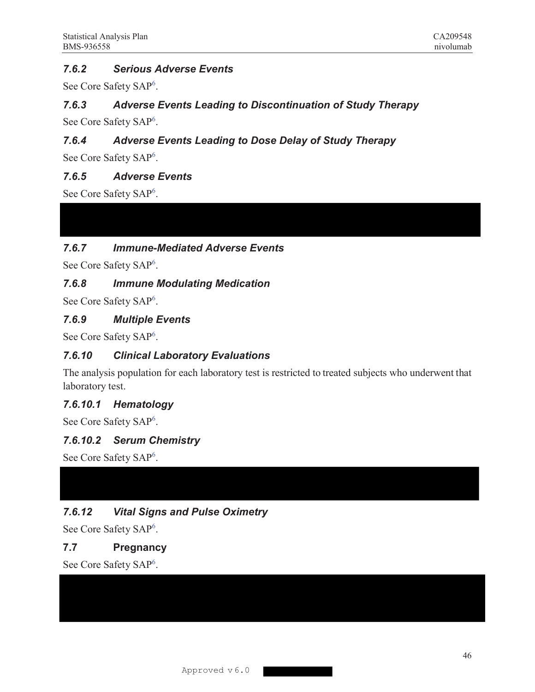#### *7.6.2 Serious Adverse Events*

See Core Safety SAP<sup>6</sup>.

## *7.6.3 Adverse Events Leading to Discontinuation of Study Therapy*

See Core Safety SAP<sup>6</sup>.

#### *7.6.4 Adverse Events Leading to Dose Delay of Study Therapy*

See Core Safety SAP<sup>6</sup>.

#### *7.6.5 Adverse Events*

See Core Safety SAP<sup>6</sup>.

#### *7.6.7 Immune-Mediated Adverse Events*

See Core Safety SAP<sup>6</sup>.

#### *7.6.8 Immune Modulating Medication*

See Core Safety SAP<sup>6</sup>.

#### *7.6.9 Multiple Events*

See Core Safety SAP<sup>6</sup>.

#### *7.6.10 Clinical Laboratory Evaluations*

The analysis population for each laboratory test is restricted to treated subjects who underwent that laboratory test.

#### *7.6.10.1 Hematology*

See Core Safety SAP<sup>6</sup>.

#### *7.6.10.2 Serum Chemistry*

See Core Safety SAP<sup>6</sup>.

#### *7.6.12 Vital Signs and Pulse Oximetry*

See Core Safety SAP<sup>6</sup>.

#### **7.7 Pregnancy**

See Core Safety SAP<sup>6</sup>.

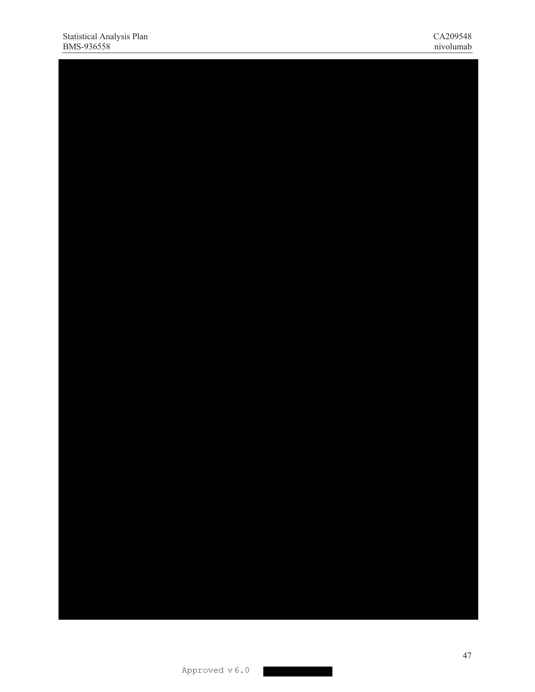Approved  $v6.0$ 

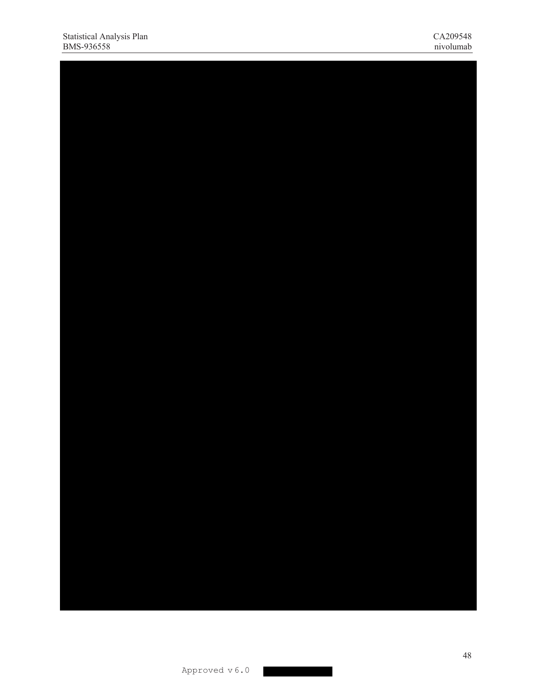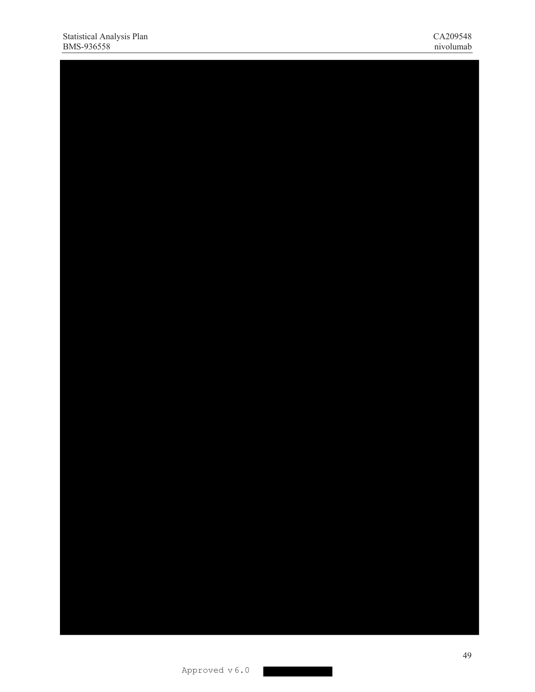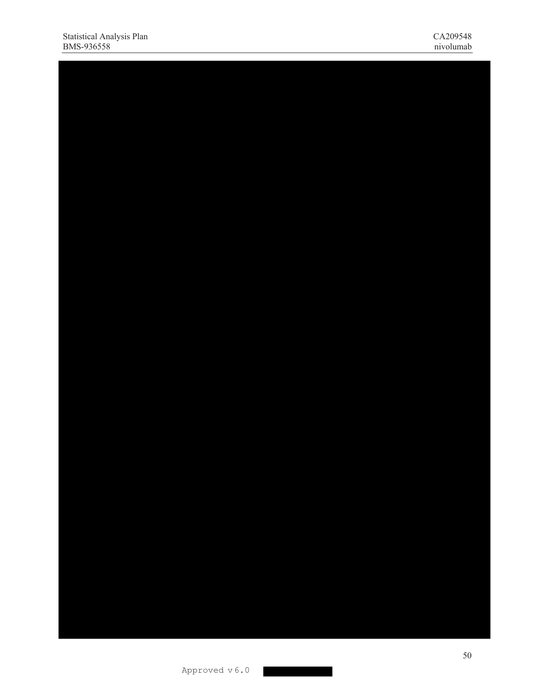Approved  $v 6.0$ 

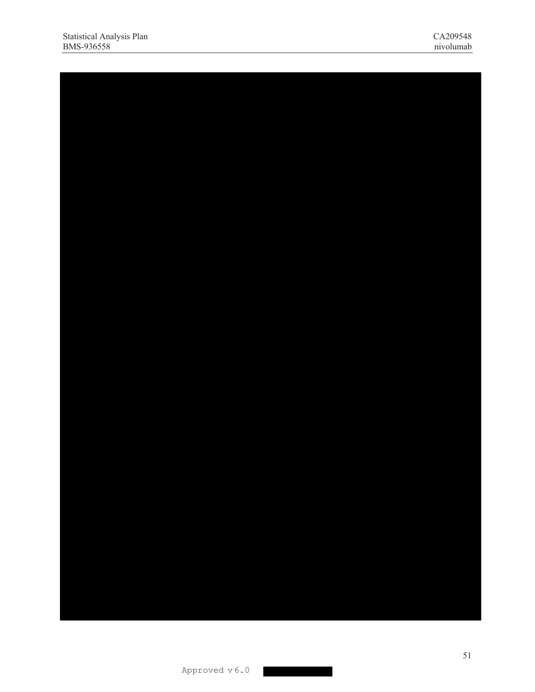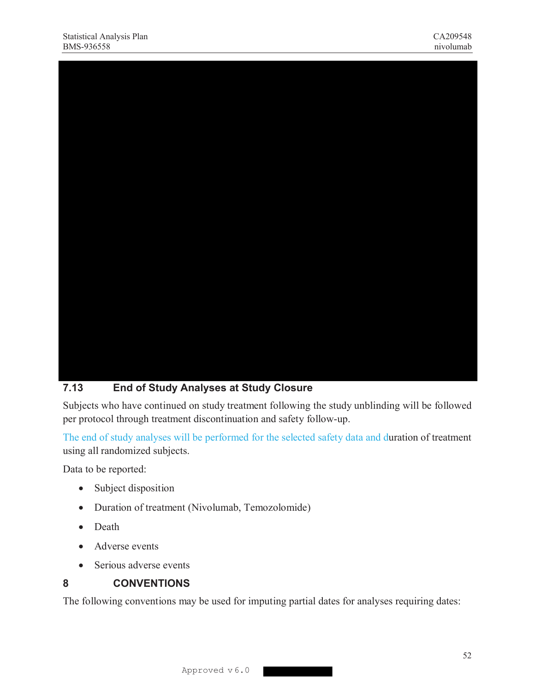

#### **7.13 End of Study Analyses at Study Closure**

Subjects who have continued on study treatment following the study unblinding will be followed per protocol through treatment discontinuation and safety follow-up.

The end of study analyses will be performed for the selected safety data and duration of treatment using all randomized subjects.

Data to be reported:

- Subject disposition
- Duration of treatment (Nivolumab, Temozolomide)
- Death
- Adverse events
- Serious adverse events

#### **8 CONVENTIONS**

The following conventions may be used for imputing partial dates for analyses requiring dates: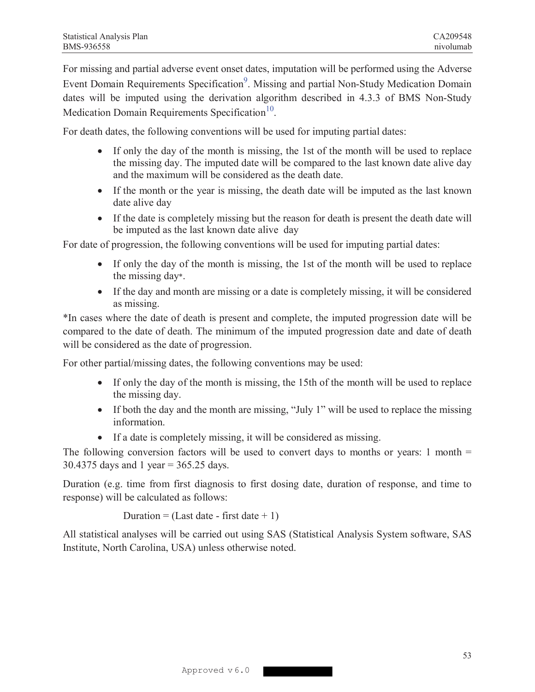For missing and partial adverse event onset dates, imputation will be performed using the Adverse Event Domain Requirements Specification<sup>9</sup>. Missing and partial Non-Study Medication Domain dates will be imputed using the derivation algorithm described in 4.3.3 of BMS Non-Study Medication Domain Requirements Specification $10$ .

For death dates, the following conventions will be used for imputing partial dates:

- If only the day of the month is missing, the 1st of the month will be used to replace the missing day. The imputed date will be compared to the last known date alive day and the maximum will be considered as the death date.
- If the month or the year is missing, the death date will be imputed as the last known date alive day
- If the date is completely missing but the reason for death is present the death date will be imputed as the last known date alive day

For date of progression, the following conventions will be used for imputing partial dates:

- If only the day of the month is missing, the 1st of the month will be used to replace the missing day\*.
- If the day and month are missing or a date is completely missing, it will be considered as missing.

\*In cases where the date of death is present and complete, the imputed progression date will be compared to the date of death. The minimum of the imputed progression date and date of death will be considered as the date of progression.

For other partial/missing dates, the following conventions may be used:

- If only the day of the month is missing, the 15th of the month will be used to replace the missing day.
- If both the day and the month are missing, "July 1" will be used to replace the missing information.
- If a date is completely missing, it will be considered as missing.

The following conversion factors will be used to convert days to months or years: 1 month  $=$ 30.4375 days and 1 year = 365.25 days.

Duration (e.g. time from first diagnosis to first dosing date, duration of response, and time to response) will be calculated as follows:

Duration =  $(Last date - first date + 1)$ 

All statistical analyses will be carried out using SAS (Statistical Analysis System software, SAS Institute, North Carolina, USA) unless otherwise noted.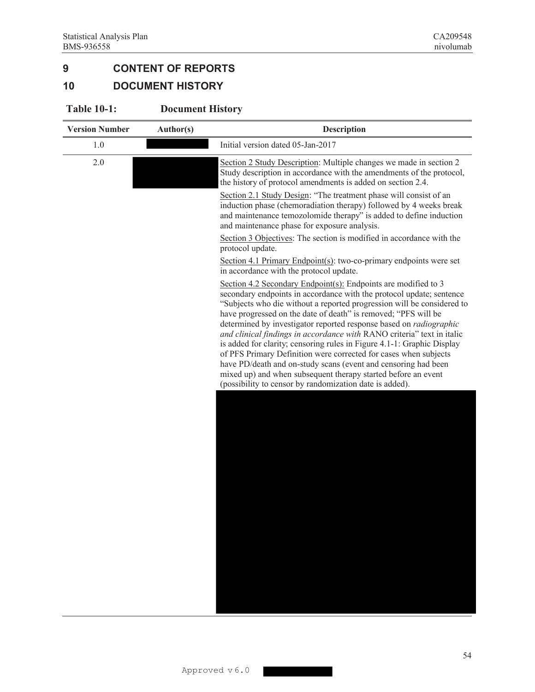# **9 CONTENT OF REPORTS**

## **10 DOCUMENT HISTORY**

**Table 10-1: Document History**

| <b>Version Number</b> | Author(s) | <b>Description</b>                                                                                                                                                                                                                                                                                                                                                                                                                                                                                                                                                                                                                                                                                                                                                             |
|-----------------------|-----------|--------------------------------------------------------------------------------------------------------------------------------------------------------------------------------------------------------------------------------------------------------------------------------------------------------------------------------------------------------------------------------------------------------------------------------------------------------------------------------------------------------------------------------------------------------------------------------------------------------------------------------------------------------------------------------------------------------------------------------------------------------------------------------|
| 1.0                   |           | Initial version dated 05-Jan-2017                                                                                                                                                                                                                                                                                                                                                                                                                                                                                                                                                                                                                                                                                                                                              |
| 2.0                   |           | Section 2 Study Description: Multiple changes we made in section 2<br>Study description in accordance with the amendments of the protocol,<br>the history of protocol amendments is added on section 2.4.                                                                                                                                                                                                                                                                                                                                                                                                                                                                                                                                                                      |
|                       |           | Section 2.1 Study Design: "The treatment phase will consist of an<br>induction phase (chemoradiation therapy) followed by 4 weeks break<br>and maintenance temozolomide therapy" is added to define induction<br>and maintenance phase for exposure analysis.                                                                                                                                                                                                                                                                                                                                                                                                                                                                                                                  |
|                       |           | Section 3 Objectives: The section is modified in accordance with the<br>protocol update.                                                                                                                                                                                                                                                                                                                                                                                                                                                                                                                                                                                                                                                                                       |
|                       |           | Section 4.1 Primary Endpoint(s): two-co-primary endpoints were set<br>in accordance with the protocol update.                                                                                                                                                                                                                                                                                                                                                                                                                                                                                                                                                                                                                                                                  |
|                       |           | Section 4.2 Secondary Endpoint(s): Endpoints are modified to 3<br>secondary endpoints in accordance with the protocol update; sentence<br>"Subjects who die without a reported progression will be considered to<br>have progressed on the date of death" is removed; "PFS will be<br>determined by investigator reported response based on radiographic<br>and clinical findings in accordance with RANO criteria" text in italic<br>is added for clarity; censoring rules in Figure 4.1-1: Graphic Display<br>of PFS Primary Definition were corrected for cases when subjects<br>have PD/death and on-study scans (event and censoring had been<br>mixed up) and when subsequent therapy started before an event<br>(possibility to censor by randomization date is added). |
|                       |           |                                                                                                                                                                                                                                                                                                                                                                                                                                                                                                                                                                                                                                                                                                                                                                                |
|                       |           |                                                                                                                                                                                                                                                                                                                                                                                                                                                                                                                                                                                                                                                                                                                                                                                |
|                       |           |                                                                                                                                                                                                                                                                                                                                                                                                                                                                                                                                                                                                                                                                                                                                                                                |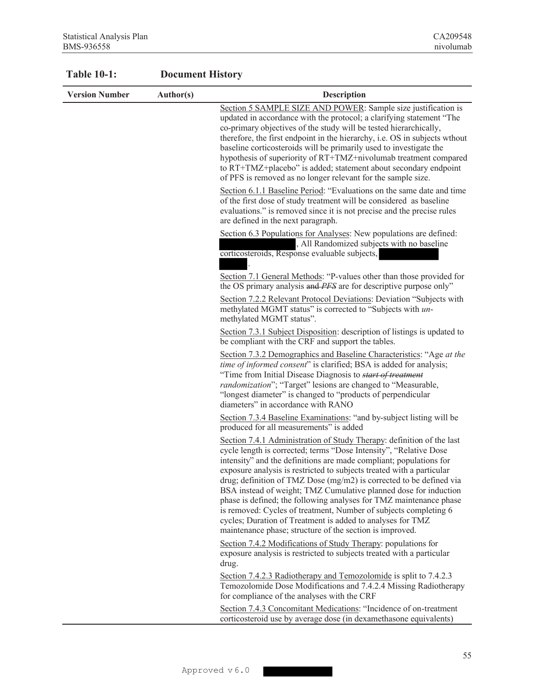| <b>Version Number</b> | Author(s) | <b>Description</b>                                                                                                                                                                                                                                                                                                                                                                                                                                                                                                                                                                                                                                                                                       |
|-----------------------|-----------|----------------------------------------------------------------------------------------------------------------------------------------------------------------------------------------------------------------------------------------------------------------------------------------------------------------------------------------------------------------------------------------------------------------------------------------------------------------------------------------------------------------------------------------------------------------------------------------------------------------------------------------------------------------------------------------------------------|
|                       |           | Section 5 SAMPLE SIZE AND POWER: Sample size justification is<br>updated in accordance with the protocol; a clarifying statement "The<br>co-primary objectives of the study will be tested hierarchically,<br>therefore, the first endpoint in the hierarchy, i.e. OS in subjects wthout<br>baseline corticosteroids will be primarily used to investigate the<br>hypothesis of superiority of RT+TMZ+nivolumab treatment compared<br>to RT+TMZ+placebo" is added; statement about secondary endpoint<br>of PFS is removed as no longer relevant for the sample size.                                                                                                                                    |
|                       |           | Section 6.1.1 Baseline Period: "Evaluations on the same date and time<br>of the first dose of study treatment will be considered as baseline<br>evaluations." is removed since it is not precise and the precise rules<br>are defined in the next paragraph.                                                                                                                                                                                                                                                                                                                                                                                                                                             |
|                       |           | Section 6.3 Populations for Analyses: New populations are defined:<br>, All Randomized subjects with no baseline<br>corticosteroids, Response evaluable subjects,                                                                                                                                                                                                                                                                                                                                                                                                                                                                                                                                        |
|                       |           | Section 7.1 General Methods: "P-values other than those provided for<br>the OS primary analysis and PFS are for descriptive purpose only"                                                                                                                                                                                                                                                                                                                                                                                                                                                                                                                                                                |
|                       |           | Section 7.2.2 Relevant Protocol Deviations: Deviation "Subjects with<br>methylated MGMT status" is corrected to "Subjects with un-<br>methylated MGMT status".                                                                                                                                                                                                                                                                                                                                                                                                                                                                                                                                           |
|                       |           | Section 7.3.1 Subject Disposition: description of listings is updated to<br>be compliant with the CRF and support the tables.                                                                                                                                                                                                                                                                                                                                                                                                                                                                                                                                                                            |
|                       |           | Section 7.3.2 Demographics and Baseline Characteristics: "Age at the<br>time of informed consent" is clarified; BSA is added for analysis;<br>"Time from Initial Disease Diagnosis to <i>start of treatment</i><br>randomization"; "Target" lesions are changed to "Measurable,<br>"longest diameter" is changed to "products of perpendicular<br>diameters" in accordance with RANO                                                                                                                                                                                                                                                                                                                     |
|                       |           | Section 7.3.4 Baseline Examinations: "and by-subject listing will be<br>produced for all measurements" is added                                                                                                                                                                                                                                                                                                                                                                                                                                                                                                                                                                                          |
|                       |           | Section 7.4.1 Administration of Study Therapy: definition of the last<br>cycle length is corrected; terms "Dose Intensity", "Relative Dose<br>intensity" and the definitions are made compliant; populations for<br>exposure analysis is restricted to subjects treated with a particular<br>drug; definition of TMZ Dose (mg/m2) is corrected to be defined via<br>BSA instead of weight; TMZ Cumulative planned dose for induction<br>phase is defined; the following analyses for TMZ maintenance phase<br>is removed: Cycles of treatment, Number of subjects completing 6<br>cycles; Duration of Treatment is added to analyses for TMZ<br>maintenance phase; structure of the section is improved. |
|                       |           | Section 7.4.2 Modifications of Study Therapy: populations for<br>exposure analysis is restricted to subjects treated with a particular<br>drug.                                                                                                                                                                                                                                                                                                                                                                                                                                                                                                                                                          |
|                       |           | Section 7.4.2.3 Radiotherapy and Temozolomide is split to 7.4.2.3<br>Temozolomide Dose Modifications and 7.4.2.4 Missing Radiotherapy<br>for compliance of the analyses with the CRF                                                                                                                                                                                                                                                                                                                                                                                                                                                                                                                     |
|                       |           | Section 7.4.3 Concomitant Medications: "Incidence of on-treatment<br>corticosteroid use by average dose (in dexamethasone equivalents)                                                                                                                                                                                                                                                                                                                                                                                                                                                                                                                                                                   |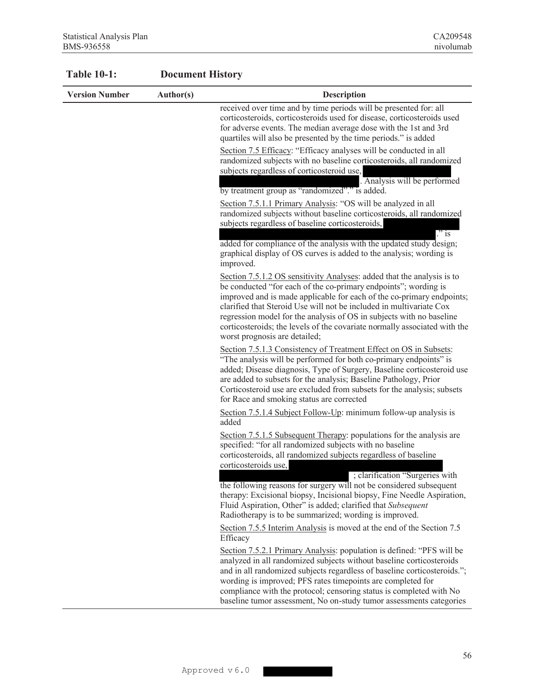| <b>Version Number</b> | Author(s) | <b>Description</b>                                                                                                                                                                                                                                                                                                                                                                                                                                                              |
|-----------------------|-----------|---------------------------------------------------------------------------------------------------------------------------------------------------------------------------------------------------------------------------------------------------------------------------------------------------------------------------------------------------------------------------------------------------------------------------------------------------------------------------------|
|                       |           | received over time and by time periods will be presented for: all<br>corticosteroids, corticosteroids used for disease, corticosteroids used<br>for adverse events. The median average dose with the 1st and 3rd<br>quartiles will also be presented by the time periods." is added                                                                                                                                                                                             |
|                       |           | Section 7.5 Efficacy: "Efficacy analyses will be conducted in all<br>randomized subjects with no baseline corticosteroids, all randomized<br>subjects regardless of corticosteroid use,<br>. Analysis will be performed<br>by treatment group as "randomized"." is added.                                                                                                                                                                                                       |
|                       |           | Section 7.5.1.1 Primary Analysis: "OS will be analyzed in all<br>randomized subjects without baseline corticosteroids, all randomized<br>subjects regardless of baseline corticosteroids,<br>$\cdot$ " is                                                                                                                                                                                                                                                                       |
|                       |           | added for compliance of the analysis with the updated study design;<br>graphical display of OS curves is added to the analysis; wording is<br>improved.                                                                                                                                                                                                                                                                                                                         |
|                       |           | Section 7.5.1.2 OS sensitivity Analyses: added that the analysis is to<br>be conducted "for each of the co-primary endpoints"; wording is<br>improved and is made applicable for each of the co-primary endpoints;<br>clarified that Steroid Use will not be included in multivariate Cox<br>regression model for the analysis of OS in subjects with no baseline<br>corticosteroids; the levels of the covariate normally associated with the<br>worst prognosis are detailed; |
|                       |           | Section 7.5.1.3 Consistency of Treatment Effect on OS in Subsets:<br>"The analysis will be performed for both co-primary endpoints" is<br>added; Disease diagnosis, Type of Surgery, Baseline corticosteroid use<br>are added to subsets for the analysis; Baseline Pathology, Prior<br>Corticosteroid use are excluded from subsets for the analysis; subsets<br>for Race and smoking status are corrected                                                                     |
|                       |           | Section 7.5.1.4 Subject Follow-Up: minimum follow-up analysis is<br>added                                                                                                                                                                                                                                                                                                                                                                                                       |
|                       |           | Section 7.5.1.5 Subsequent Therapy: populations for the analysis are<br>specified: "for all randomized subjects with no baseline<br>corticosteroids, all randomized subjects regardless of baseline                                                                                                                                                                                                                                                                             |
|                       |           | corticosteroids use,<br>; clarification "Surgeries with<br>the following reasons for surgery will not be considered subsequent<br>therapy: Excisional biopsy, Incisional biopsy, Fine Needle Aspiration,<br>Fluid Aspiration, Other" is added; clarified that Subsequent<br>Radiotherapy is to be summarized; wording is improved.                                                                                                                                              |
|                       |           | Section 7.5.5 Interim Analysis is moved at the end of the Section 7.5<br>Efficacy                                                                                                                                                                                                                                                                                                                                                                                               |
|                       |           | Section 7.5.2.1 Primary Analysis: population is defined: "PFS will be<br>analyzed in all randomized subjects without baseline corticosteroids<br>and in all randomized subjects regardless of baseline corticosteroids.";<br>wording is improved; PFS rates timepoints are completed for<br>compliance with the protocol; censoring status is completed with No<br>baseline tumor assessment, No on-study tumor assessments categories                                          |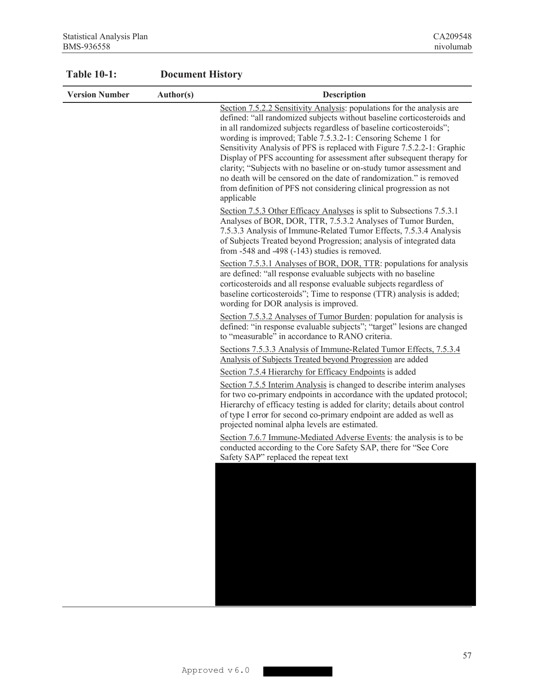| <b>Version Number</b> | Author(s) | <b>Description</b>                                                                                                                                                                                                                                                                                                                                                                                                                                                                                                                                                                                                                                                            |
|-----------------------|-----------|-------------------------------------------------------------------------------------------------------------------------------------------------------------------------------------------------------------------------------------------------------------------------------------------------------------------------------------------------------------------------------------------------------------------------------------------------------------------------------------------------------------------------------------------------------------------------------------------------------------------------------------------------------------------------------|
|                       |           | Section 7.5.2.2 Sensitivity Analysis: populations for the analysis are<br>defined: "all randomized subjects without baseline corticosteroids and<br>in all randomized subjects regardless of baseline corticosteroids";<br>wording is improved; Table 7.5.3.2-1: Censoring Scheme 1 for<br>Sensitivity Analysis of PFS is replaced with Figure 7.5.2.2-1: Graphic<br>Display of PFS accounting for assessment after subsequent therapy for<br>clarity; "Subjects with no baseline or on-study tumor assessment and<br>no death will be censored on the date of randomization." is removed<br>from definition of PFS not considering clinical progression as not<br>applicable |
|                       |           | Section 7.5.3 Other Efficacy Analyses is split to Subsections 7.5.3.1<br>Analyses of BOR, DOR, TTR, 7.5.3.2 Analyses of Tumor Burden,<br>7.5.3.3 Analysis of Immune-Related Tumor Effects, 7.5.3.4 Analysis<br>of Subjects Treated beyond Progression; analysis of integrated data<br>from $-548$ and $-498$ $(-143)$ studies is removed.                                                                                                                                                                                                                                                                                                                                     |
|                       |           | Section 7.5.3.1 Analyses of BOR, DOR, TTR: populations for analysis<br>are defined: "all response evaluable subjects with no baseline<br>corticosteroids and all response evaluable subjects regardless of<br>baseline corticosteroids"; Time to response (TTR) analysis is added;<br>wording for DOR analysis is improved.                                                                                                                                                                                                                                                                                                                                                   |
|                       |           | Section 7.5.3.2 Analyses of Tumor Burden: population for analysis is<br>defined: "in response evaluable subjects"; "target" lesions are changed<br>to "measurable" in accordance to RANO criteria.                                                                                                                                                                                                                                                                                                                                                                                                                                                                            |
|                       |           | Sections 7.5.3.3 Analysis of Immune-Related Tumor Effects, 7.5.3.4<br>Analysis of Subjects Treated beyond Progression are added                                                                                                                                                                                                                                                                                                                                                                                                                                                                                                                                               |
|                       |           | Section 7.5.4 Hierarchy for Efficacy Endpoints is added<br>Section 7.5.5 Interim Analysis is changed to describe interim analyses<br>for two co-primary endpoints in accordance with the updated protocol;<br>Hierarchy of efficacy testing is added for clarity; details about control<br>of type I error for second co-primary endpoint are added as well as<br>projected nominal alpha levels are estimated.                                                                                                                                                                                                                                                               |
|                       |           | Section 7.6.7 Immune-Mediated Adverse Events: the analysis is to be<br>conducted according to the Core Safety SAP, there for "See Core<br>Safety SAP" replaced the repeat text                                                                                                                                                                                                                                                                                                                                                                                                                                                                                                |
|                       |           |                                                                                                                                                                                                                                                                                                                                                                                                                                                                                                                                                                                                                                                                               |
|                       |           |                                                                                                                                                                                                                                                                                                                                                                                                                                                                                                                                                                                                                                                                               |
|                       |           |                                                                                                                                                                                                                                                                                                                                                                                                                                                                                                                                                                                                                                                                               |

## **Table 10-1: Document History**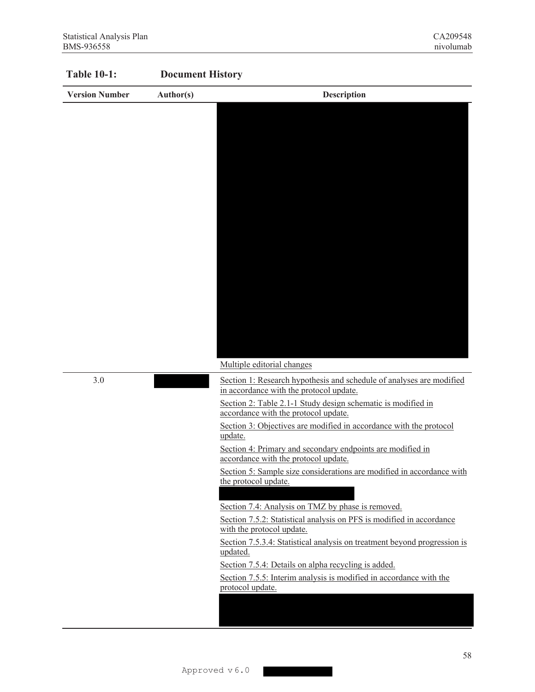| <b>Version Number</b> | Author(s) | <b>Description</b>                                                                                                        |
|-----------------------|-----------|---------------------------------------------------------------------------------------------------------------------------|
|                       |           |                                                                                                                           |
|                       |           |                                                                                                                           |
|                       |           |                                                                                                                           |
|                       |           |                                                                                                                           |
|                       |           |                                                                                                                           |
|                       |           |                                                                                                                           |
|                       |           |                                                                                                                           |
|                       |           |                                                                                                                           |
|                       |           |                                                                                                                           |
|                       |           |                                                                                                                           |
|                       |           |                                                                                                                           |
|                       |           |                                                                                                                           |
|                       |           |                                                                                                                           |
|                       |           |                                                                                                                           |
|                       |           |                                                                                                                           |
|                       |           |                                                                                                                           |
|                       |           |                                                                                                                           |
|                       |           | Multiple editorial changes                                                                                                |
| 3.0                   |           | Section 1: Research hypothesis and schedule of analyses are modified                                                      |
|                       |           | in accordance with the protocol update.                                                                                   |
|                       |           | Section 2: Table 2.1-1 Study design schematic is modified in<br>accordance with the protocol update.                      |
|                       |           | Section 3: Objectives are modified in accordance with the protocol                                                        |
|                       |           | update.                                                                                                                   |
|                       |           | Section 4: Primary and secondary endpoints are modified in<br>accordance with the protocol update.                        |
|                       |           | Section 5: Sample size considerations are modified in accordance with                                                     |
|                       |           | the protocol update.                                                                                                      |
|                       |           |                                                                                                                           |
|                       |           | Section 7.4: Analysis on TMZ by phase is removed.<br>Section 7.5.2: Statistical analysis on PFS is modified in accordance |
|                       |           | with the protocol update.                                                                                                 |
|                       |           | Section 7.5.3.4: Statistical analysis on treatment beyond progression is                                                  |
|                       |           | updated.                                                                                                                  |
|                       |           | Section 7.5.4: Details on alpha recycling is added.<br>Section 7.5.5: Interim analysis is modified in accordance with the |
|                       |           | protocol update.                                                                                                          |
|                       |           |                                                                                                                           |
|                       |           |                                                                                                                           |

 $\overline{\phantom{a}}$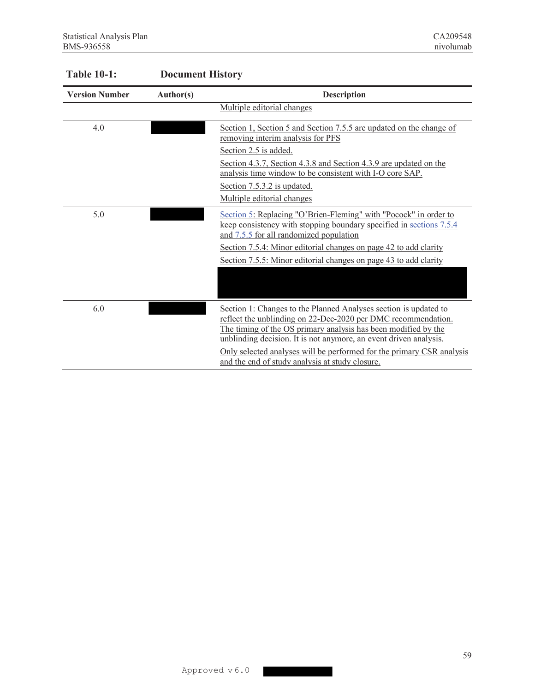| <b>Version Number</b> | Author(s) | <b>Description</b>                                                                                                                                                                                                                                                                                                                                                                                   |
|-----------------------|-----------|------------------------------------------------------------------------------------------------------------------------------------------------------------------------------------------------------------------------------------------------------------------------------------------------------------------------------------------------------------------------------------------------------|
|                       |           | Multiple editorial changes                                                                                                                                                                                                                                                                                                                                                                           |
| 4.0                   |           | Section 1, Section 5 and Section 7.5.5 are updated on the change of<br>removing interim analysis for PFS<br>Section 2.5 is added.<br>Section 4.3.7, Section 4.3.8 and Section 4.3.9 are updated on the<br>analysis time window to be consistent with I-O core SAP.<br>Section 7.5.3.2 is updated.<br>Multiple editorial changes                                                                      |
| 5.0                   |           | Section 5: Replacing "O'Brien-Fleming" with "Pocock" in order to<br>keep consistency with stopping boundary specified in sections 7.5.4<br>and 7.5.5 for all randomized population<br>Section 7.5.4: Minor editorial changes on page 42 to add clarity<br>Section 7.5.5: Minor editorial changes on page 43 to add clarity                                                                           |
| 6.0                   |           | Section 1: Changes to the Planned Analyses section is updated to<br>reflect the unblinding on 22-Dec-2020 per DMC recommendation.<br>The timing of the OS primary analysis has been modified by the<br>unblinding decision. It is not anymore, an event driven analysis.<br>Only selected analyses will be performed for the primary CSR analysis<br>and the end of study analysis at study closure. |

## **Table 10-1: Document History**